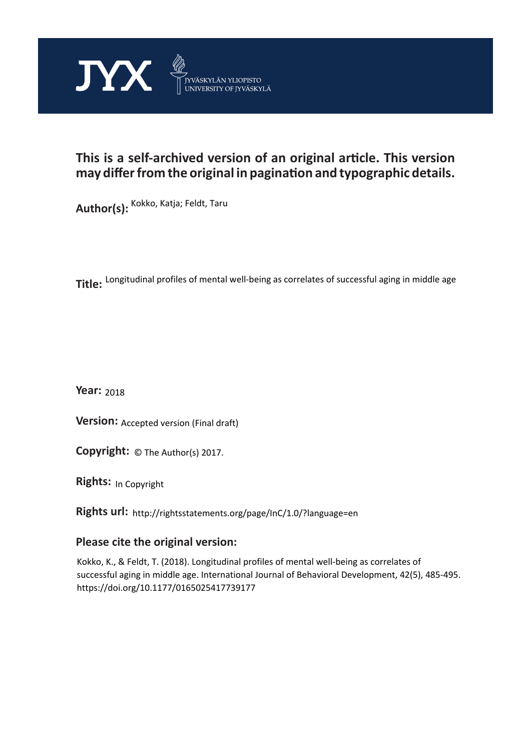

## **This is a self-archived version of an original article. This version may differ from the original in pagination and typographic details.**

**Author(s):**  Kokko, Katja; Feldt, Taru

**Title:**  Longitudinal profiles of mental well-being as correlates of successful aging in middle age

**Year:**  2018

**Version:** Accepted version (Final draft)

**Version:** Accepted version (Final draft)<br>**Copyright:** © The Author(s) 2017.

**Rights:** In Copyright

**Rights url:**  http://rightsstatements.org/page/InC/1.0/?language=en

## **Please cite the original version:**

Kokko, K., & Feldt, T. (2018). Longitudinal profiles of mental well-being as correlates of successful aging in middle age. International Journal of Behavioral Development, 42(5), 485-495. https://doi.org/10.1177/0165025417739177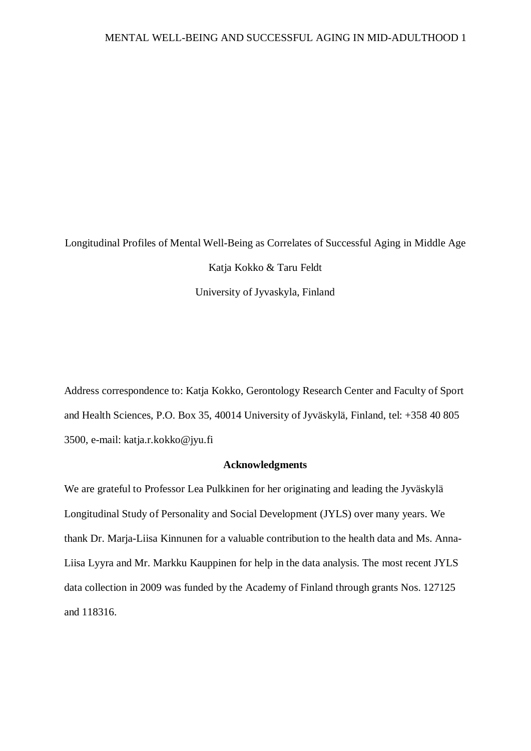# Longitudinal Profiles of Mental Well-Being as Correlates of Successful Aging in Middle Age Katja Kokko & Taru Feldt University of Jyvaskyla, Finland

Address correspondence to: Katja Kokko, Gerontology Research Center and Faculty of Sport and Health Sciences, P.O. Box 35, 40014 University of Jyväskylä, Finland, tel: +358 40 805 3500, e-mail: katja.r.kokko@jyu.fi

#### **Acknowledgments**

We are grateful to Professor Lea Pulkkinen for her originating and leading the Jyväskylä Longitudinal Study of Personality and Social Development (JYLS) over many years. We thank Dr. Marja-Liisa Kinnunen for a valuable contribution to the health data and Ms. Anna-Liisa Lyyra and Mr. Markku Kauppinen for help in the data analysis. The most recent JYLS data collection in 2009 was funded by the Academy of Finland through grants Nos. 127125 and 118316.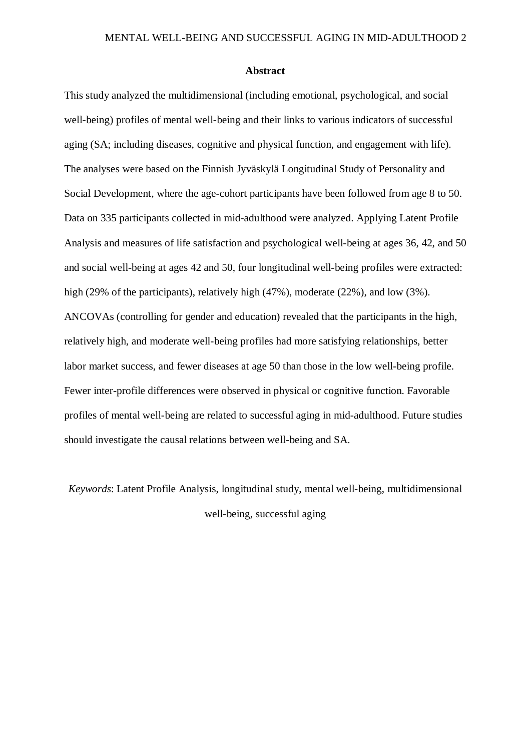#### **Abstract**

This study analyzed the multidimensional (including emotional, psychological, and social well-being) profiles of mental well-being and their links to various indicators of successful aging (SA; including diseases, cognitive and physical function, and engagement with life). The analyses were based on the Finnish Jyväskylä Longitudinal Study of Personality and Social Development, where the age-cohort participants have been followed from age 8 to 50. Data on 335 participants collected in mid-adulthood were analyzed. Applying Latent Profile Analysis and measures of life satisfaction and psychological well-being at ages 36, 42, and 50 and social well-being at ages 42 and 50, four longitudinal well-being profiles were extracted: high (29% of the participants), relatively high (47%), moderate (22%), and low (3%). ANCOVAs (controlling for gender and education) revealed that the participants in the high, relatively high, and moderate well-being profiles had more satisfying relationships, better labor market success, and fewer diseases at age 50 than those in the low well-being profile. Fewer inter-profile differences were observed in physical or cognitive function. Favorable profiles of mental well-being are related to successful aging in mid-adulthood. Future studies should investigate the causal relations between well-being and SA.

*Keywords*: Latent Profile Analysis, longitudinal study, mental well-being, multidimensional well-being, successful aging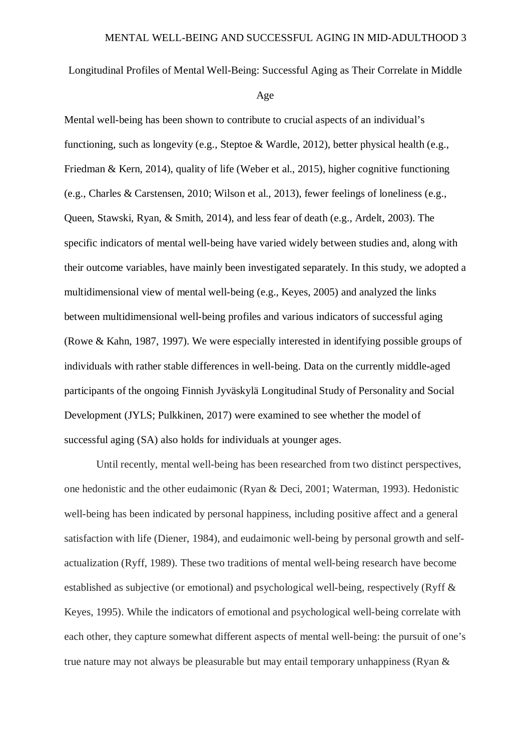Longitudinal Profiles of Mental Well-Being: Successful Aging as Their Correlate in Middle

Age

Mental well-being has been shown to contribute to crucial aspects of an individual's functioning, such as longevity (e.g., Steptoe & Wardle, 2012), better physical health (e.g., Friedman & Kern, 2014), quality of life (Weber et al., 2015), higher cognitive functioning (e.g., Charles & Carstensen, 2010; Wilson et al., 2013), fewer feelings of loneliness (e.g., Queen, Stawski, Ryan, & Smith, 2014), and less fear of death (e.g., Ardelt, 2003). The specific indicators of mental well-being have varied widely between studies and, along with their outcome variables, have mainly been investigated separately. In this study, we adopted a multidimensional view of mental well-being (e.g., Keyes, 2005) and analyzed the links between multidimensional well-being profiles and various indicators of successful aging (Rowe & Kahn, 1987, 1997). We were especially interested in identifying possible groups of individuals with rather stable differences in well-being. Data on the currently middle-aged participants of the ongoing Finnish Jyväskylä Longitudinal Study of Personality and Social Development (JYLS; Pulkkinen, 2017) were examined to see whether the model of successful aging (SA) also holds for individuals at younger ages.

Until recently, mental well-being has been researched from two distinct perspectives, one hedonistic and the other eudaimonic (Ryan & Deci, 2001; Waterman, 1993). Hedonistic well-being has been indicated by personal happiness, including positive affect and a general satisfaction with life (Diener, 1984), and eudaimonic well-being by personal growth and selfactualization (Ryff, 1989). These two traditions of mental well-being research have become established as subjective (or emotional) and psychological well-being, respectively (Ryff & Keyes, 1995). While the indicators of emotional and psychological well-being correlate with each other, they capture somewhat different aspects of mental well-being: the pursuit of one's true nature may not always be pleasurable but may entail temporary unhappiness (Ryan  $\&$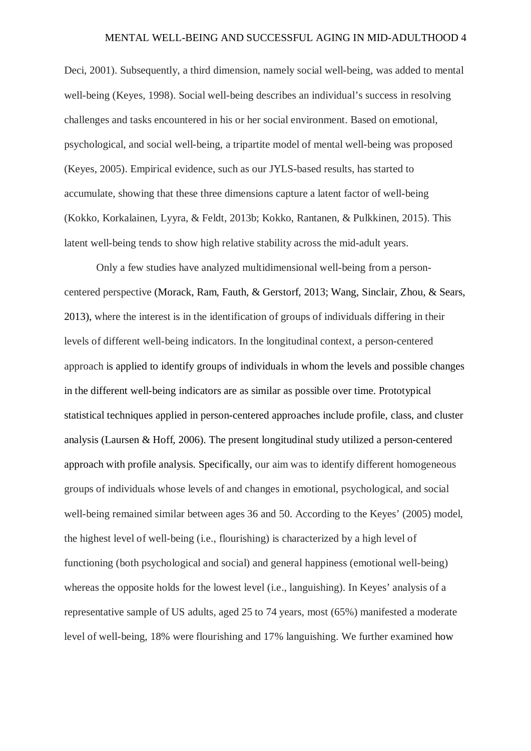Deci, 2001). Subsequently, a third dimension, namely social well-being, was added to mental well-being (Keyes, 1998). Social well-being describes an individual's success in resolving challenges and tasks encountered in his or her social environment. Based on emotional, psychological, and social well-being, a tripartite model of mental well-being was proposed (Keyes, 2005). Empirical evidence, such as our JYLS-based results, has started to accumulate, showing that these three dimensions capture a latent factor of well-being (Kokko, Korkalainen, Lyyra, & Feldt, 2013b; Kokko, Rantanen, & Pulkkinen, 2015). This latent well-being tends to show high relative stability across the mid-adult years.

Only a few studies have analyzed multidimensional well-being from a personcentered perspective (Morack, Ram, Fauth, & Gerstorf, 2013; Wang, Sinclair, Zhou, & Sears, 2013), where the interest is in the identification of groups of individuals differing in their levels of different well-being indicators. In the longitudinal context, a person-centered approach is applied to identify groups of individuals in whom the levels and possible changes in the different well-being indicators are as similar as possible over time. Prototypical statistical techniques applied in person-centered approaches include profile, class, and cluster analysis (Laursen & Hoff, 2006). The present longitudinal study utilized a person-centered approach with profile analysis. Specifically, our aim was to identify different homogeneous groups of individuals whose levels of and changes in emotional, psychological, and social well-being remained similar between ages 36 and 50. According to the Keyes' (2005) model, the highest level of well-being (i.e., flourishing) is characterized by a high level of functioning (both psychological and social) and general happiness (emotional well-being) whereas the opposite holds for the lowest level (i.e., languishing). In Keyes' analysis of a representative sample of US adults, aged 25 to 74 years, most (65%) manifested a moderate level of well-being, 18% were flourishing and 17% languishing. We further examined how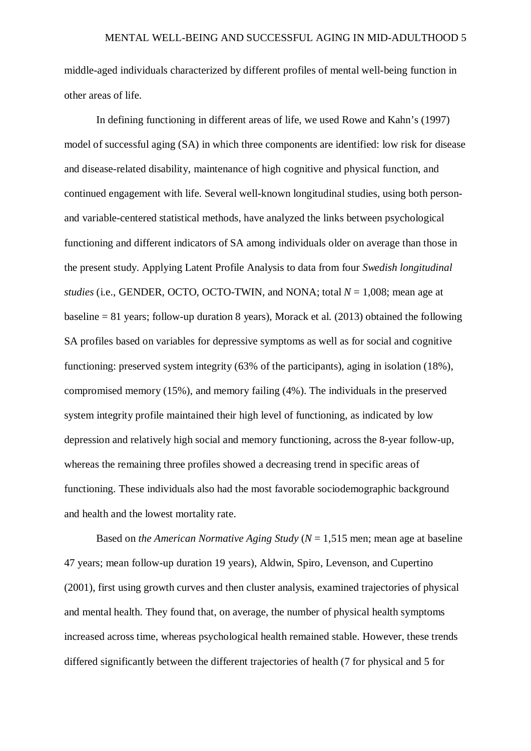middle-aged individuals characterized by different profiles of mental well-being function in other areas of life.

In defining functioning in different areas of life, we used Rowe and Kahn's (1997) model of successful aging (SA) in which three components are identified: low risk for disease and disease-related disability, maintenance of high cognitive and physical function, and continued engagement with life. Several well-known longitudinal studies, using both personand variable-centered statistical methods, have analyzed the links between psychological functioning and different indicators of SA among individuals older on average than those in the present study. Applying Latent Profile Analysis to data from four *Swedish longitudinal studies* (i.e., GENDER, OCTO, OCTO-TWIN, and NONA; total  $N = 1,008$ ; mean age at baseline = 81 years; follow-up duration 8 years), Morack et al. (2013) obtained the following SA profiles based on variables for depressive symptoms as well as for social and cognitive functioning: preserved system integrity (63% of the participants), aging in isolation (18%), compromised memory (15%), and memory failing (4%). The individuals in the preserved system integrity profile maintained their high level of functioning, as indicated by low depression and relatively high social and memory functioning, across the 8-year follow-up, whereas the remaining three profiles showed a decreasing trend in specific areas of functioning. These individuals also had the most favorable sociodemographic background and health and the lowest mortality rate.

Based on *the American Normative Aging Study* (*N* = 1,515 men; mean age at baseline 47 years; mean follow-up duration 19 years), Aldwin, Spiro, Levenson, and Cupertino (2001), first using growth curves and then cluster analysis, examined trajectories of physical and mental health. They found that, on average, the number of physical health symptoms increased across time, whereas psychological health remained stable. However, these trends differed significantly between the different trajectories of health (7 for physical and 5 for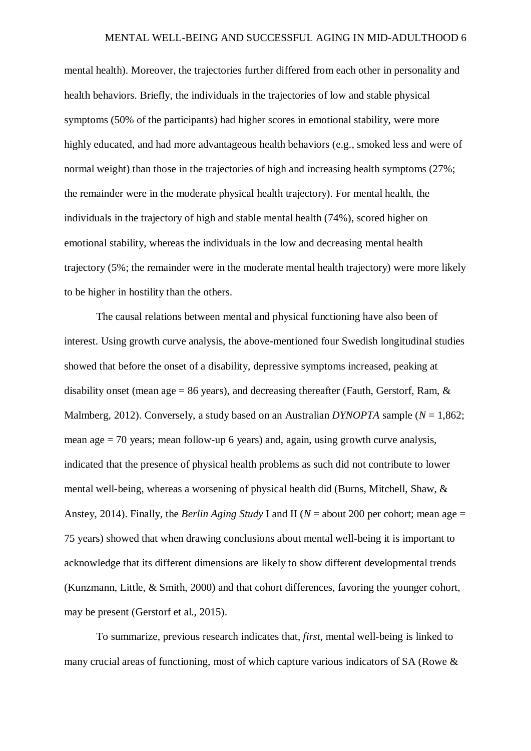mental health). Moreover, the trajectories further differed from each other in personality and health behaviors. Briefly, the individuals in the trajectories of low and stable physical symptoms (50% of the participants) had higher scores in emotional stability, were more highly educated, and had more advantageous health behaviors (e.g., smoked less and were of normal weight) than those in the trajectories of high and increasing health symptoms (27%; the remainder were in the moderate physical health trajectory). For mental health, the individuals in the trajectory of high and stable mental health (74%), scored higher on emotional stability, whereas the individuals in the low and decreasing mental health trajectory (5%; the remainder were in the moderate mental health trajectory) were more likely to be higher in hostility than the others.

The causal relations between mental and physical functioning have also been of interest. Using growth curve analysis, the above-mentioned four Swedish longitudinal studies showed that before the onset of a disability, depressive symptoms increased, peaking at disability onset (mean age = 86 years), and decreasing thereafter (Fauth, Gerstorf, Ram,  $\&$ Malmberg, 2012). Conversely, a study based on an Australian *DYNOPTA* sample (*N* = 1,862; mean age = 70 years; mean follow-up 6 years) and, again, using growth curve analysis, indicated that the presence of physical health problems as such did not contribute to lower mental well-being, whereas a worsening of physical health did (Burns, Mitchell, Shaw, & Anstey, 2014). Finally, the *Berlin Aging Study* I and II (*N* = about 200 per cohort; mean age = 75 years) showed that when drawing conclusions about mental well-being it is important to acknowledge that its different dimensions are likely to show different developmental trends (Kunzmann, Little, & Smith, 2000) and that cohort differences, favoring the younger cohort, may be present (Gerstorf et al., 2015).

To summarize, previous research indicates that, *first*, mental well-being is linked to many crucial areas of functioning, most of which capture various indicators of SA (Rowe &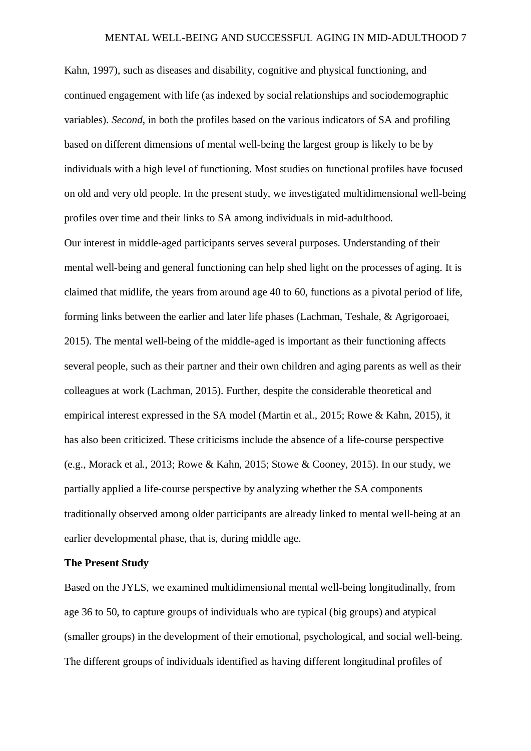Kahn, 1997), such as diseases and disability, cognitive and physical functioning, and continued engagement with life (as indexed by social relationships and sociodemographic variables). *Second*, in both the profiles based on the various indicators of SA and profiling based on different dimensions of mental well-being the largest group is likely to be by individuals with a high level of functioning. Most studies on functional profiles have focused on old and very old people. In the present study, we investigated multidimensional well-being profiles over time and their links to SA among individuals in mid-adulthood. Our interest in middle-aged participants serves several purposes. Understanding of their mental well-being and general functioning can help shed light on the processes of aging. It is claimed that midlife, the years from around age 40 to 60, functions as a pivotal period of life, forming links between the earlier and later life phases (Lachman, Teshale, & Agrigoroaei, 2015). The mental well-being of the middle-aged is important as their functioning affects several people, such as their partner and their own children and aging parents as well as their colleagues at work (Lachman, 2015). Further, despite the considerable theoretical and empirical interest expressed in the SA model (Martin et al., 2015; Rowe & Kahn, 2015), it has also been criticized. These criticisms include the absence of a life-course perspective (e.g., Morack et al., 2013; Rowe & Kahn, 2015; Stowe & Cooney, 2015). In our study, we partially applied a life-course perspective by analyzing whether the SA components traditionally observed among older participants are already linked to mental well-being at an earlier developmental phase, that is, during middle age.

#### **The Present Study**

Based on the JYLS, we examined multidimensional mental well-being longitudinally, from age 36 to 50, to capture groups of individuals who are typical (big groups) and atypical (smaller groups) in the development of their emotional, psychological, and social well-being. The different groups of individuals identified as having different longitudinal profiles of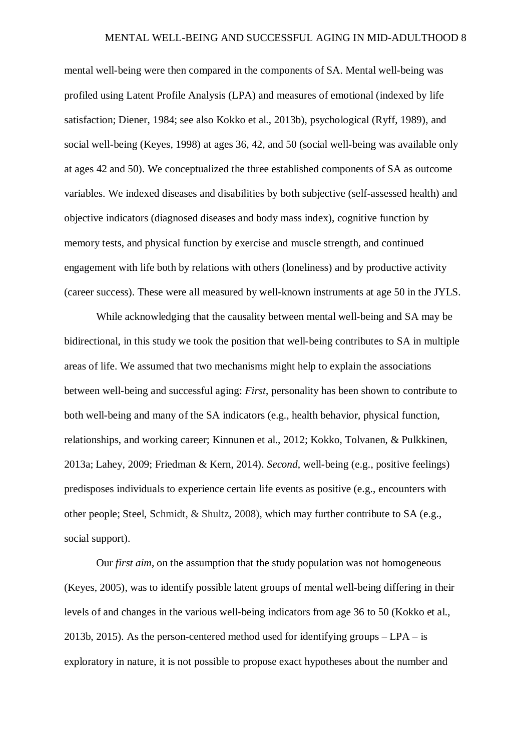mental well-being were then compared in the components of SA. Mental well-being was profiled using Latent Profile Analysis (LPA) and measures of emotional (indexed by life satisfaction; Diener, 1984; see also Kokko et al., 2013b), psychological (Ryff, 1989), and social well-being (Keyes, 1998) at ages 36, 42, and 50 (social well-being was available only at ages 42 and 50). We conceptualized the three established components of SA as outcome variables. We indexed diseases and disabilities by both subjective (self-assessed health) and objective indicators (diagnosed diseases and body mass index), cognitive function by memory tests, and physical function by exercise and muscle strength, and continued engagement with life both by relations with others (loneliness) and by productive activity (career success). These were all measured by well-known instruments at age 50 in the JYLS.

While acknowledging that the causality between mental well-being and SA may be bidirectional, in this study we took the position that well-being contributes to SA in multiple areas of life. We assumed that two mechanisms might help to explain the associations between well-being and successful aging: *First*, personality has been shown to contribute to both well-being and many of the SA indicators (e.g., health behavior, physical function, relationships, and working career; Kinnunen et al., 2012; Kokko, Tolvanen, & Pulkkinen, 2013a; Lahey, 2009; Friedman & Kern, 2014). *Second*, well-being (e.g., positive feelings) predisposes individuals to experience certain life events as positive (e.g., encounters with other people; Steel, Schmidt, & Shultz, 2008), which may further contribute to SA (e.g., social support).

Our *first aim*, on the assumption that the study population was not homogeneous (Keyes, 2005), was to identify possible latent groups of mental well-being differing in their levels of and changes in the various well-being indicators from age 36 to 50 (Kokko et al., 2013b, 2015). As the person-centered method used for identifying groups  $-{\rm LPA}$  – is exploratory in nature, it is not possible to propose exact hypotheses about the number and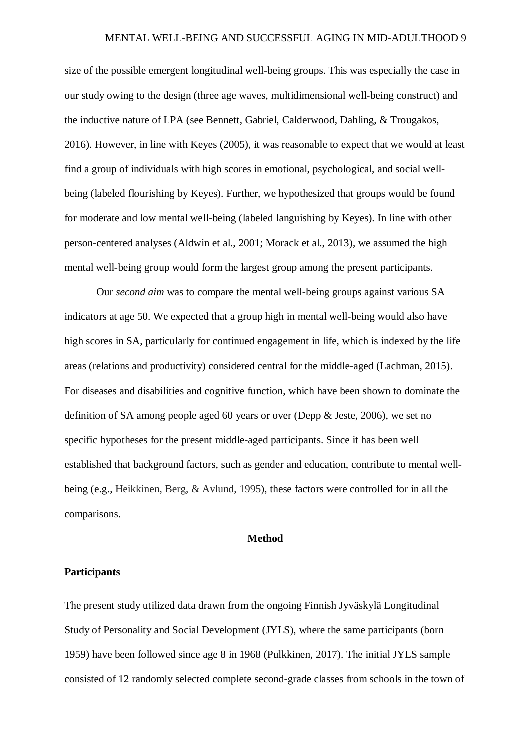size of the possible emergent longitudinal well-being groups. This was especially the case in our study owing to the design (three age waves, multidimensional well-being construct) and the inductive nature of LPA (see Bennett, Gabriel, Calderwood, Dahling, & Trougakos, 2016). However, in line with Keyes (2005), it was reasonable to expect that we would at least find a group of individuals with high scores in emotional, psychological, and social wellbeing (labeled flourishing by Keyes). Further, we hypothesized that groups would be found for moderate and low mental well-being (labeled languishing by Keyes). In line with other person-centered analyses (Aldwin et al., 2001; Morack et al., 2013), we assumed the high mental well-being group would form the largest group among the present participants.

Our *second aim* was to compare the mental well-being groups against various SA indicators at age 50. We expected that a group high in mental well-being would also have high scores in SA, particularly for continued engagement in life, which is indexed by the life areas (relations and productivity) considered central for the middle-aged (Lachman, 2015). For diseases and disabilities and cognitive function, which have been shown to dominate the definition of SA among people aged 60 years or over (Depp & Jeste, 2006), we set no specific hypotheses for the present middle-aged participants. Since it has been well established that background factors, such as gender and education, contribute to mental wellbeing (e.g., Heikkinen, Berg, & Avlund, 1995), these factors were controlled for in all the comparisons.

#### **Method**

#### **Participants**

The present study utilized data drawn from the ongoing Finnish Jyväskylä Longitudinal Study of Personality and Social Development (JYLS), where the same participants (born 1959) have been followed since age 8 in 1968 (Pulkkinen, 2017). The initial JYLS sample consisted of 12 randomly selected complete second-grade classes from schools in the town of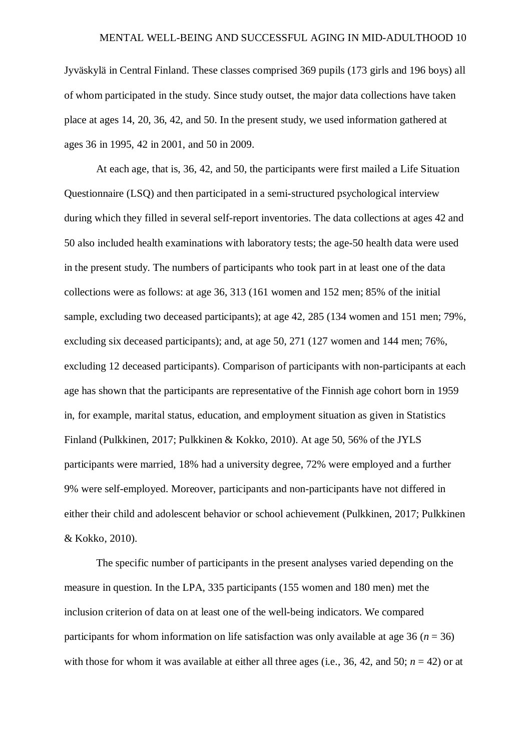Jyväskylä in Central Finland. These classes comprised 369 pupils (173 girls and 196 boys) all of whom participated in the study. Since study outset, the major data collections have taken place at ages 14, 20, 36, 42, and 50. In the present study, we used information gathered at ages 36 in 1995, 42 in 2001, and 50 in 2009.

At each age, that is, 36, 42, and 50, the participants were first mailed a Life Situation Questionnaire (LSQ) and then participated in a semi-structured psychological interview during which they filled in several self-report inventories. The data collections at ages 42 and 50 also included health examinations with laboratory tests; the age-50 health data were used in the present study. The numbers of participants who took part in at least one of the data collections were as follows: at age 36, 313 (161 women and 152 men; 85% of the initial sample, excluding two deceased participants); at age 42, 285 (134 women and 151 men; 79%, excluding six deceased participants); and, at age 50, 271 (127 women and 144 men; 76%, excluding 12 deceased participants). Comparison of participants with non-participants at each age has shown that the participants are representative of the Finnish age cohort born in 1959 in, for example, marital status, education, and employment situation as given in Statistics Finland (Pulkkinen, 2017; Pulkkinen & Kokko, 2010). At age 50, 56% of the JYLS participants were married, 18% had a university degree, 72% were employed and a further 9% were self-employed. Moreover, participants and non-participants have not differed in either their child and adolescent behavior or school achievement (Pulkkinen, 2017; Pulkkinen & Kokko, 2010).

The specific number of participants in the present analyses varied depending on the measure in question. In the LPA, 335 participants (155 women and 180 men) met the inclusion criterion of data on at least one of the well-being indicators. We compared participants for whom information on life satisfaction was only available at age 36 ( $n = 36$ ) with those for whom it was available at either all three ages (i.e., 36, 42, and 50;  $n = 42$ ) or at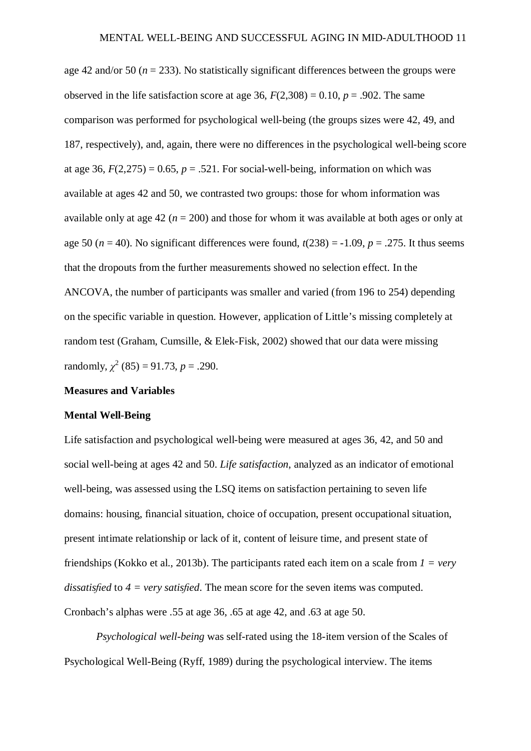age 42 and/or 50 ( $n = 233$ ). No statistically significant differences between the groups were observed in the life satisfaction score at age 36,  $F(2,308) = 0.10$ ,  $p = .902$ . The same comparison was performed for psychological well-being (the groups sizes were 42, 49, and 187, respectively), and, again, there were no differences in the psychological well-being score at age 36,  $F(2,275) = 0.65$ ,  $p = .521$ . For social-well-being, information on which was available at ages 42 and 50, we contrasted two groups: those for whom information was available only at age  $42 (n = 200)$  and those for whom it was available at both ages or only at age 50 ( $n = 40$ ). No significant differences were found,  $t(238) = -1.09$ ,  $p = .275$ . It thus seems that the dropouts from the further measurements showed no selection effect. In the ANCOVA, the number of participants was smaller and varied (from 196 to 254) depending on the specific variable in question. However, application of Little's missing completely at random test (Graham, Cumsille, & Elek-Fisk, 2002) showed that our data were missing randomly,  $\chi^2$  (85) = 91.73, *p* = .290.

#### **Measures and Variables**

#### **Mental Well-Being**

Life satisfaction and psychological well-being were measured at ages 36, 42, and 50 and social well-being at ages 42 and 50. *Life satisfaction*, analyzed as an indicator of emotional well-being, was assessed using the LSQ items on satisfaction pertaining to seven life domains: housing, financial situation, choice of occupation, present occupational situation, present intimate relationship or lack of it, content of leisure time, and present state of friendships (Kokko et al., 2013b). The participants rated each item on a scale from *1 = very dissatisfied* to  $4 = \text{very satisfied}$ . The mean score for the seven items was computed. Cronbach's alphas were .55 at age 36, .65 at age 42, and .63 at age 50.

*Psychological well-being* was self-rated using the 18-item version of the Scales of Psychological Well-Being (Ryff, 1989) during the psychological interview. The items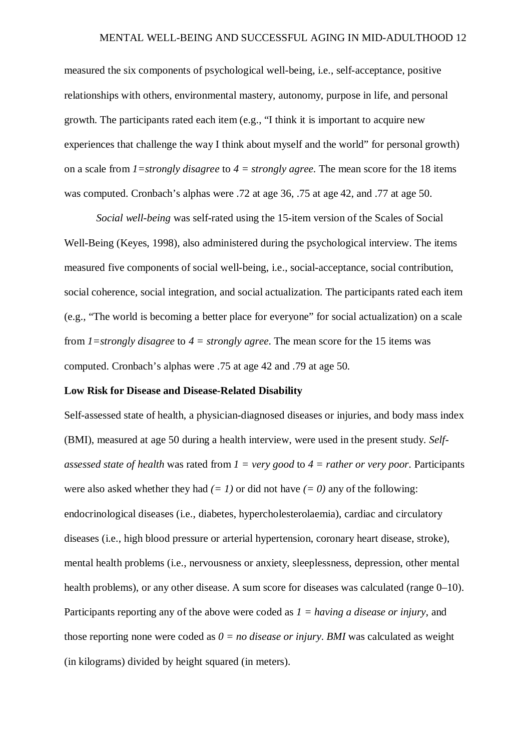measured the six components of psychological well-being, i.e., self-acceptance, positive relationships with others, environmental mastery, autonomy, purpose in life, and personal growth. The participants rated each item (e.g., "I think it is important to acquire new experiences that challenge the way I think about myself and the world" for personal growth) on a scale from *1=strongly disagree* to *4 = strongly agree*. The mean score for the 18 items was computed. Cronbach's alphas were .72 at age 36, .75 at age 42, and .77 at age 50.

*Social well-being* was self-rated using the 15-item version of the Scales of Social Well-Being (Keyes, 1998), also administered during the psychological interview. The items measured five components of social well-being, i.e., social-acceptance, social contribution, social coherence, social integration, and social actualization. The participants rated each item (e.g., "The world is becoming a better place for everyone" for social actualization) on a scale from *1=strongly disagree* to *4 = strongly agree*. The mean score for the 15 items was computed. Cronbach's alphas were .75 at age 42 and .79 at age 50.

#### **Low Risk for Disease and Disease-Related Disability**

Self-assessed state of health, a physician-diagnosed diseases or injuries, and body mass index (BMI), measured at age 50 during a health interview, were used in the present study. *Selfassessed state of health* was rated from *1 = very good* to *4 = rather or very poor*. Participants were also asked whether they had  $(= 1)$  or did not have  $(= 0)$  any of the following: endocrinological diseases (i.e., diabetes, hypercholesterolaemia), cardiac and circulatory diseases (i.e., high blood pressure or arterial hypertension, coronary heart disease, stroke), mental health problems (i.e., nervousness or anxiety, sleeplessness, depression, other mental health problems), or any other disease. A sum score for diseases was calculated (range  $0-10$ ). Participants reporting any of the above were coded as *1 = having a disease or injury*, and those reporting none were coded as  $0 = no$  *disease or injury. BMI* was calculated as weight (in kilograms) divided by height squared (in meters).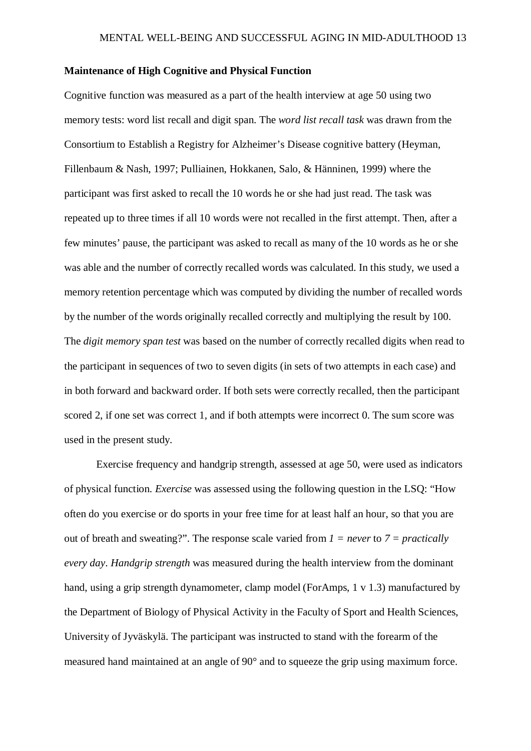#### **Maintenance of High Cognitive and Physical Function**

Cognitive function was measured as a part of the health interview at age 50 using two memory tests: word list recall and digit span. The *word list recall task* was drawn from the Consortium to Establish a Registry for Alzheimer's Disease cognitive battery (Heyman, Fillenbaum & Nash, 1997; Pulliainen, Hokkanen, Salo, & Hänninen, 1999) where the participant was first asked to recall the 10 words he or she had just read. The task was repeated up to three times if all 10 words were not recalled in the first attempt. Then, after a few minutes' pause, the participant was asked to recall as many of the 10 words as he or she was able and the number of correctly recalled words was calculated. In this study, we used a memory retention percentage which was computed by dividing the number of recalled words by the number of the words originally recalled correctly and multiplying the result by 100. The *digit memory span test* was based on the number of correctly recalled digits when read to the participant in sequences of two to seven digits (in sets of two attempts in each case) and in both forward and backward order. If both sets were correctly recalled, then the participant scored 2, if one set was correct 1, and if both attempts were incorrect 0. The sum score was used in the present study.

Exercise frequency and handgrip strength, assessed at age 50, were used as indicators of physical function. *Exercise* was assessed using the following question in the LSQ: "How often do you exercise or do sports in your free time for at least half an hour, so that you are out of breath and sweating?". The response scale varied from *1 = never* to *7 = practically every day*. *Handgrip strength* was measured during the health interview from the dominant hand, using a grip strength dynamometer, clamp model (ForAmps, 1 v 1.3) manufactured by the Department of Biology of Physical Activity in the Faculty of Sport and Health Sciences, University of Jyväskylä. The participant was instructed to stand with the forearm of the measured hand maintained at an angle of 90° and to squeeze the grip using maximum force.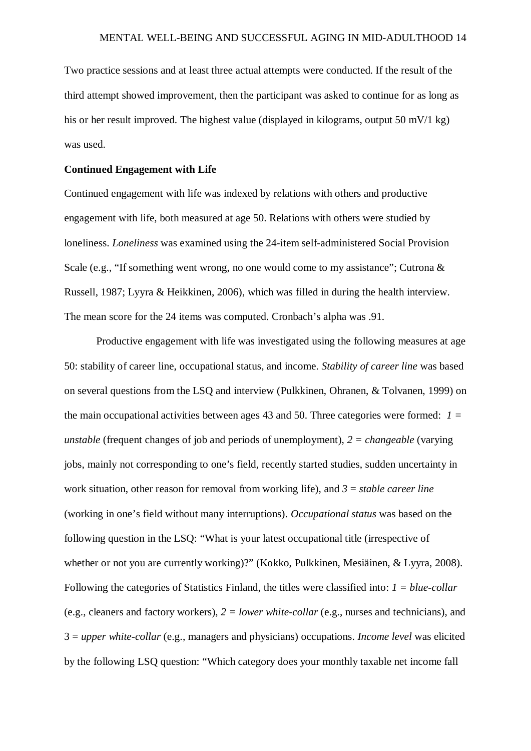Two practice sessions and at least three actual attempts were conducted. If the result of the third attempt showed improvement, then the participant was asked to continue for as long as his or her result improved. The highest value (displayed in kilograms, output 50 mV/1 kg) was used.

#### **Continued Engagement with Life**

Continued engagement with life was indexed by relations with others and productive engagement with life, both measured at age 50. Relations with others were studied by loneliness. *Loneliness* was examined using the 24-item self-administered Social Provision Scale (e.g., "If something went wrong, no one would come to my assistance"; Cutrona & Russell, 1987; Lyyra & Heikkinen, 2006), which was filled in during the health interview. The mean score for the 24 items was computed. Cronbach's alpha was .91.

Productive engagement with life was investigated using the following measures at age 50: stability of career line, occupational status, and income. *Stability of career line* was based on several questions from the LSQ and interview (Pulkkinen, Ohranen, & Tolvanen, 1999) on the main occupational activities between ages 43 and 50. Three categories were formed: *1 = unstable* (frequent changes of job and periods of unemployment), *2 = changeable* (varying jobs, mainly not corresponding to one's field, recently started studies, sudden uncertainty in work situation, other reason for removal from working life), and *3* = *stable career line* (working in one's field without many interruptions). *Occupational status* was based on the following question in the LSQ: "What is your latest occupational title (irrespective of whether or not you are currently working)?" (Kokko, Pulkkinen, Mesiäinen, & Lyyra, 2008). Following the categories of Statistics Finland, the titles were classified into: *1 = blue-collar* (e.g., cleaners and factory workers), *2 = lower white-collar* (e.g., nurses and technicians), and 3 = *upper white-collar* (e.g., managers and physicians) occupations. *Income level* was elicited by the following LSQ question: "Which category does your monthly taxable net income fall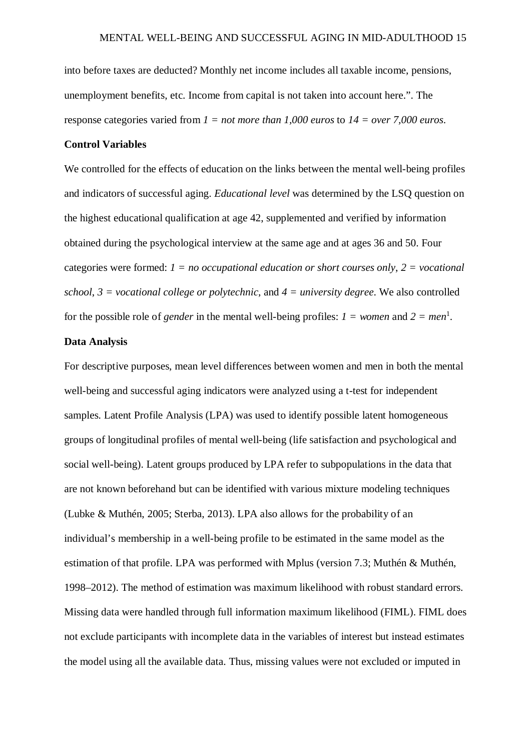into before taxes are deducted? Monthly net income includes all taxable income, pensions, unemployment benefits, etc. Income from capital is not taken into account here.". The response categories varied from *1 = not more than 1,000 euros* to *14 = over 7,000 euros*.

#### **Control Variables**

We controlled for the effects of education on the links between the mental well-being profiles and indicators of successful aging. *Educational level* was determined by the LSQ question on the highest educational qualification at age 42, supplemented and verified by information obtained during the psychological interview at the same age and at ages 36 and 50. Four categories were formed: *1 = no occupational education or short courses only*, *2 = vocational school*, *3 = vocational college or polytechnic*, and *4 = university degree*. We also controlled for the possible role of *gender* in the mental well-being profiles:  $I = women$  and  $2 = men^1$ .

#### **Data Analysis**

For descriptive purposes, mean level differences between women and men in both the mental well-being and successful aging indicators were analyzed using a t-test for independent samples. Latent Profile Analysis (LPA) was used to identify possible latent homogeneous groups of longitudinal profiles of mental well-being (life satisfaction and psychological and social well-being). Latent groups produced by LPA refer to subpopulations in the data that are not known beforehand but can be identified with various mixture modeling techniques (Lubke & Muthén, 2005; Sterba, 2013). LPA also allows for the probability of an individual's membership in a well-being profile to be estimated in the same model as the estimation of that profile. LPA was performed with Mplus (version 7.3; Muthén & Muthén, 1998–2012). The method of estimation was maximum likelihood with robust standard errors. Missing data were handled through full information maximum likelihood (FIML). FIML does not exclude participants with incomplete data in the variables of interest but instead estimates the model using all the available data. Thus, missing values were not excluded or imputed in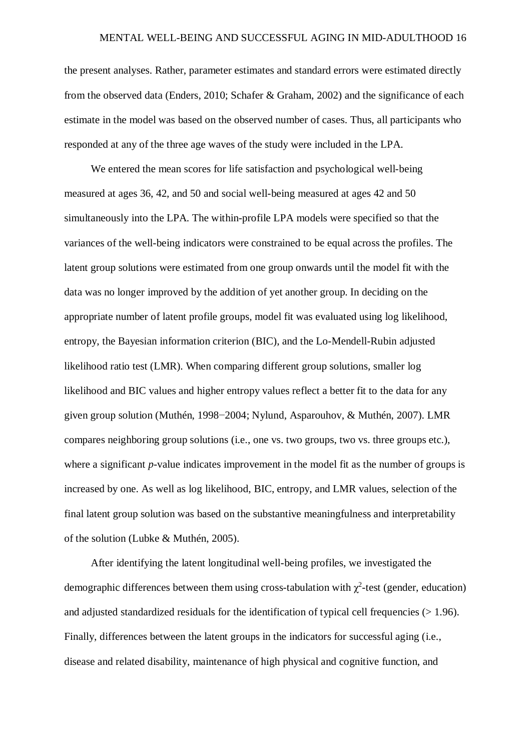the present analyses. Rather, parameter estimates and standard errors were estimated directly from the observed data (Enders, 2010; Schafer & Graham, 2002) and the significance of each estimate in the model was based on the observed number of cases. Thus, all participants who responded at any of the three age waves of the study were included in the LPA.

We entered the mean scores for life satisfaction and psychological well-being measured at ages 36, 42, and 50 and social well-being measured at ages 42 and 50 simultaneously into the LPA. The within-profile LPA models were specified so that the variances of the well-being indicators were constrained to be equal across the profiles. The latent group solutions were estimated from one group onwards until the model fit with the data was no longer improved by the addition of yet another group. In deciding on the appropriate number of latent profile groups, model fit was evaluated using log likelihood, entropy, the Bayesian information criterion (BIC), and the Lo-Mendell-Rubin adjusted likelihood ratio test (LMR). When comparing different group solutions, smaller log likelihood and BIC values and higher entropy values reflect a better fit to the data for any given group solution (Muthén, 1998−2004; Nylund, Asparouhov, & Muthén, 2007). LMR compares neighboring group solutions (i.e., one vs. two groups, two vs. three groups etc.), where a significant *p*-value indicates improvement in the model fit as the number of groups is increased by one. As well as log likelihood, BIC, entropy, and LMR values, selection of the final latent group solution was based on the substantive meaningfulness and interpretability of the solution (Lubke & Muthén, 2005).

After identifying the latent longitudinal well-being profiles, we investigated the demographic differences between them using cross-tabulation with  $\chi^2$ -test (gender, education) and adjusted standardized residuals for the identification of typical cell frequencies  $(>1.96)$ . Finally, differences between the latent groups in the indicators for successful aging (i.e., disease and related disability, maintenance of high physical and cognitive function, and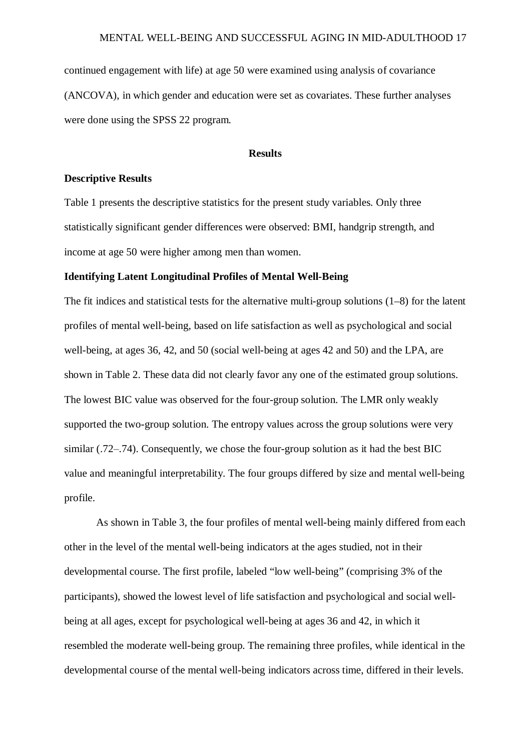continued engagement with life) at age 50 were examined using analysis of covariance (ANCOVA), in which gender and education were set as covariates. These further analyses were done using the SPSS 22 program.

#### **Results**

#### **Descriptive Results**

Table 1 presents the descriptive statistics for the present study variables. Only three statistically significant gender differences were observed: BMI, handgrip strength, and income at age 50 were higher among men than women.

#### **Identifying Latent Longitudinal Profiles of Mental Well-Being**

The fit indices and statistical tests for the alternative multi-group solutions (1–8) for the latent profiles of mental well-being, based on life satisfaction as well as psychological and social well-being, at ages 36, 42, and 50 (social well-being at ages 42 and 50) and the LPA, are shown in Table 2. These data did not clearly favor any one of the estimated group solutions. The lowest BIC value was observed for the four-group solution. The LMR only weakly supported the two-group solution. The entropy values across the group solutions were very similar  $(.72-.74)$ . Consequently, we chose the four-group solution as it had the best BIC value and meaningful interpretability. The four groups differed by size and mental well-being profile.

As shown in Table 3, the four profiles of mental well-being mainly differed from each other in the level of the mental well-being indicators at the ages studied, not in their developmental course. The first profile, labeled "low well-being" (comprising 3% of the participants), showed the lowest level of life satisfaction and psychological and social wellbeing at all ages, except for psychological well-being at ages 36 and 42, in which it resembled the moderate well-being group. The remaining three profiles, while identical in the developmental course of the mental well-being indicators across time, differed in their levels.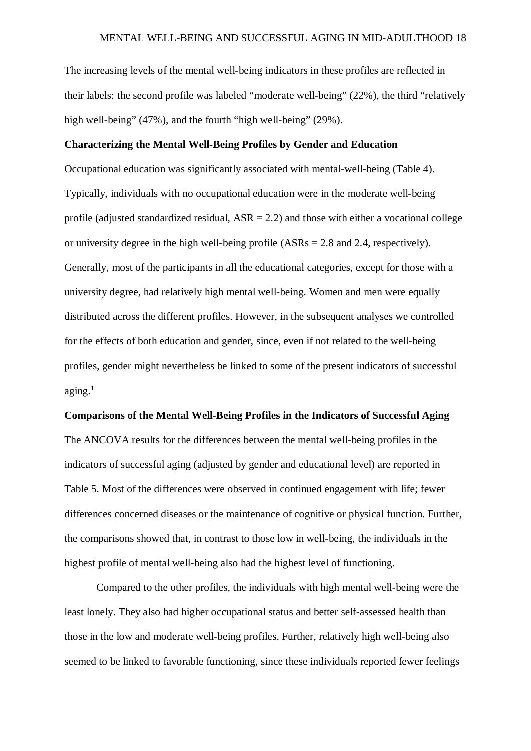The increasing levels of the mental well-being indicators in these profiles are reflected in their labels: the second profile was labeled "moderate well-being" (22%), the third "relatively high well-being" (47%), and the fourth "high well-being" (29%).

#### **Characterizing the Mental Well-Being Profiles by Gender and Education**

Occupational education was significantly associated with mental-well-being (Table 4). Typically, individuals with no occupational education were in the moderate well-being profile (adjusted standardized residual,  $ASR = 2.2$ ) and those with either a vocational college or university degree in the high well-being profile (ASRs = 2.8 and 2.4, respectively). Generally, most of the participants in all the educational categories, except for those with a university degree, had relatively high mental well-being. Women and men were equally distributed across the different profiles. However, in the subsequent analyses we controlled for the effects of both education and gender, since, even if not related to the well-being profiles, gender might nevertheless be linked to some of the present indicators of successful  $a$ ging.<sup>1</sup>

## **Comparisons of the Mental Well-Being Profiles in the Indicators of Successful Aging**

The ANCOVA results for the differences between the mental well-being profiles in the indicators of successful aging (adjusted by gender and educational level) are reported in Table 5. Most of the differences were observed in continued engagement with life; fewer differences concerned diseases or the maintenance of cognitive or physical function. Further, the comparisons showed that, in contrast to those low in well-being, the individuals in the highest profile of mental well-being also had the highest level of functioning.

Compared to the other profiles, the individuals with high mental well-being were the least lonely. They also had higher occupational status and better self-assessed health than those in the low and moderate well-being profiles. Further, relatively high well-being also seemed to be linked to favorable functioning, since these individuals reported fewer feelings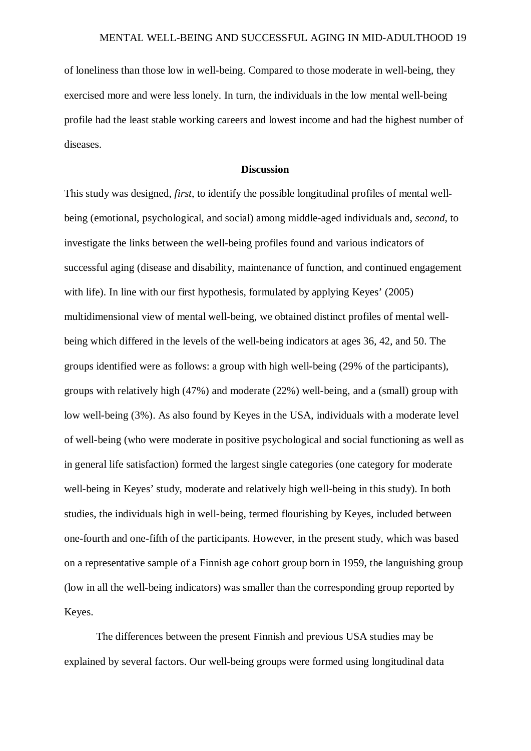of loneliness than those low in well-being. Compared to those moderate in well-being, they exercised more and were less lonely. In turn, the individuals in the low mental well-being profile had the least stable working careers and lowest income and had the highest number of diseases.

#### **Discussion**

This study was designed, *first*, to identify the possible longitudinal profiles of mental wellbeing (emotional, psychological, and social) among middle-aged individuals and, *second*, to investigate the links between the well-being profiles found and various indicators of successful aging (disease and disability, maintenance of function, and continued engagement with life). In line with our first hypothesis, formulated by applying Keyes' (2005) multidimensional view of mental well-being, we obtained distinct profiles of mental wellbeing which differed in the levels of the well-being indicators at ages 36, 42, and 50. The groups identified were as follows: a group with high well-being (29% of the participants), groups with relatively high (47%) and moderate (22%) well-being, and a (small) group with low well-being (3%). As also found by Keyes in the USA, individuals with a moderate level of well-being (who were moderate in positive psychological and social functioning as well as in general life satisfaction) formed the largest single categories (one category for moderate well-being in Keyes' study, moderate and relatively high well-being in this study). In both studies, the individuals high in well-being, termed flourishing by Keyes, included between one-fourth and one-fifth of the participants. However, in the present study, which was based on a representative sample of a Finnish age cohort group born in 1959, the languishing group (low in all the well-being indicators) was smaller than the corresponding group reported by Keyes.

The differences between the present Finnish and previous USA studies may be explained by several factors. Our well-being groups were formed using longitudinal data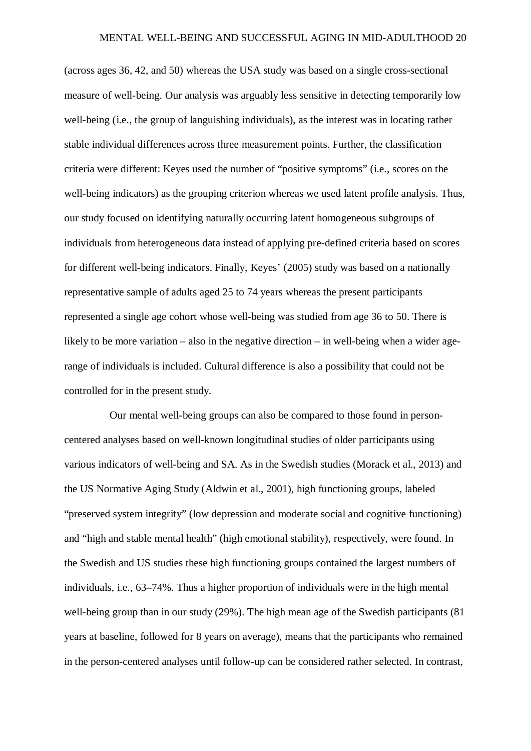(across ages 36, 42, and 50) whereas the USA study was based on a single cross-sectional measure of well-being. Our analysis was arguably less sensitive in detecting temporarily low well-being (i.e., the group of languishing individuals), as the interest was in locating rather stable individual differences across three measurement points. Further, the classification criteria were different: Keyes used the number of "positive symptoms" (i.e., scores on the well-being indicators) as the grouping criterion whereas we used latent profile analysis. Thus, our study focused on identifying naturally occurring latent homogeneous subgroups of individuals from heterogeneous data instead of applying pre-defined criteria based on scores for different well-being indicators. Finally, Keyes' (2005) study was based on a nationally representative sample of adults aged 25 to 74 years whereas the present participants represented a single age cohort whose well-being was studied from age 36 to 50. There is likely to be more variation – also in the negative direction – in well-being when a wider agerange of individuals is included. Cultural difference is also a possibility that could not be controlled for in the present study.

 Our mental well-being groups can also be compared to those found in personcentered analyses based on well-known longitudinal studies of older participants using various indicators of well-being and SA. As in the Swedish studies (Morack et al., 2013) and the US Normative Aging Study (Aldwin et al., 2001), high functioning groups, labeled "preserved system integrity" (low depression and moderate social and cognitive functioning) and "high and stable mental health" (high emotional stability), respectively, were found. In the Swedish and US studies these high functioning groups contained the largest numbers of individuals, i.e., 63–74%. Thus a higher proportion of individuals were in the high mental well-being group than in our study (29%). The high mean age of the Swedish participants (81 years at baseline, followed for 8 years on average), means that the participants who remained in the person-centered analyses until follow-up can be considered rather selected. In contrast,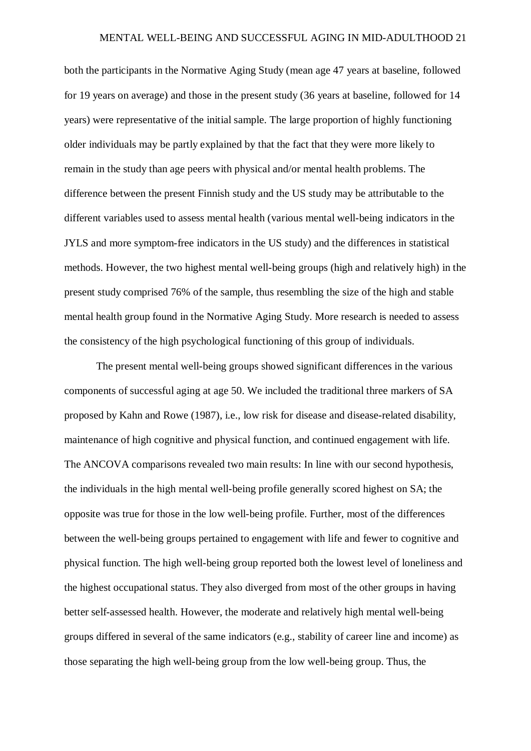both the participants in the Normative Aging Study (mean age 47 years at baseline, followed for 19 years on average) and those in the present study (36 years at baseline, followed for 14 years) were representative of the initial sample. The large proportion of highly functioning older individuals may be partly explained by that the fact that they were more likely to remain in the study than age peers with physical and/or mental health problems. The difference between the present Finnish study and the US study may be attributable to the different variables used to assess mental health (various mental well-being indicators in the JYLS and more symptom-free indicators in the US study) and the differences in statistical methods. However, the two highest mental well-being groups (high and relatively high) in the present study comprised 76% of the sample, thus resembling the size of the high and stable mental health group found in the Normative Aging Study. More research is needed to assess the consistency of the high psychological functioning of this group of individuals.

The present mental well-being groups showed significant differences in the various components of successful aging at age 50. We included the traditional three markers of SA proposed by Kahn and Rowe (1987), i.e., low risk for disease and disease-related disability, maintenance of high cognitive and physical function, and continued engagement with life. The ANCOVA comparisons revealed two main results: In line with our second hypothesis, the individuals in the high mental well-being profile generally scored highest on SA; the opposite was true for those in the low well-being profile. Further, most of the differences between the well-being groups pertained to engagement with life and fewer to cognitive and physical function. The high well-being group reported both the lowest level of loneliness and the highest occupational status. They also diverged from most of the other groups in having better self-assessed health. However, the moderate and relatively high mental well-being groups differed in several of the same indicators (e.g., stability of career line and income) as those separating the high well-being group from the low well-being group. Thus, the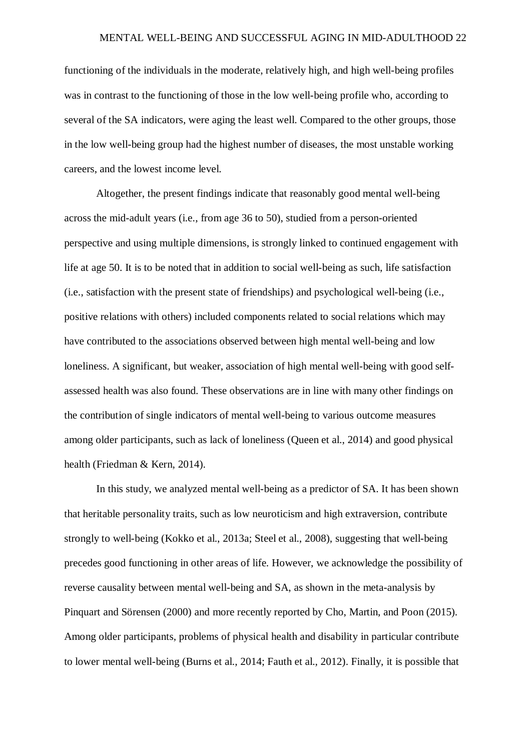functioning of the individuals in the moderate, relatively high, and high well-being profiles was in contrast to the functioning of those in the low well-being profile who, according to several of the SA indicators, were aging the least well. Compared to the other groups, those in the low well-being group had the highest number of diseases, the most unstable working careers, and the lowest income level.

Altogether, the present findings indicate that reasonably good mental well-being across the mid-adult years (i.e., from age 36 to 50), studied from a person-oriented perspective and using multiple dimensions, is strongly linked to continued engagement with life at age 50. It is to be noted that in addition to social well-being as such, life satisfaction (i.e., satisfaction with the present state of friendships) and psychological well-being (i.e., positive relations with others) included components related to social relations which may have contributed to the associations observed between high mental well-being and low loneliness. A significant, but weaker, association of high mental well-being with good selfassessed health was also found. These observations are in line with many other findings on the contribution of single indicators of mental well-being to various outcome measures among older participants, such as lack of loneliness (Queen et al., 2014) and good physical health (Friedman & Kern, 2014).

In this study, we analyzed mental well-being as a predictor of SA. It has been shown that heritable personality traits, such as low neuroticism and high extraversion, contribute strongly to well-being (Kokko et al., 2013a; Steel et al., 2008), suggesting that well-being precedes good functioning in other areas of life. However, we acknowledge the possibility of reverse causality between mental well-being and SA, as shown in the meta-analysis by Pinquart and Sörensen (2000) and more recently reported by Cho, Martin, and Poon (2015). Among older participants, problems of physical health and disability in particular contribute to lower mental well-being (Burns et al., 2014; Fauth et al., 2012). Finally, it is possible that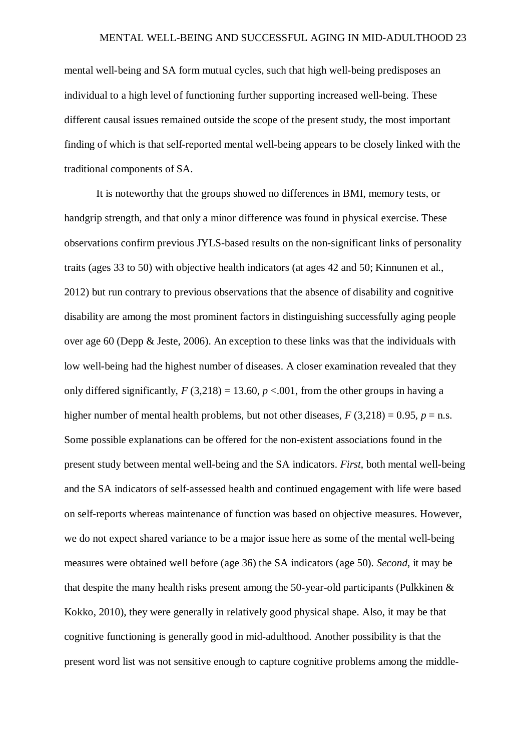mental well-being and SA form mutual cycles, such that high well-being predisposes an individual to a high level of functioning further supporting increased well-being. These different causal issues remained outside the scope of the present study, the most important finding of which is that self-reported mental well-being appears to be closely linked with the traditional components of SA.

It is noteworthy that the groups showed no differences in BMI, memory tests, or handgrip strength, and that only a minor difference was found in physical exercise. These observations confirm previous JYLS-based results on the non-significant links of personality traits (ages 33 to 50) with objective health indicators (at ages 42 and 50; Kinnunen et al., 2012) but run contrary to previous observations that the absence of disability and cognitive disability are among the most prominent factors in distinguishing successfully aging people over age 60 (Depp & Jeste, 2006). An exception to these links was that the individuals with low well-being had the highest number of diseases. A closer examination revealed that they only differed significantly,  $F(3,218) = 13.60$ ,  $p < .001$ , from the other groups in having a higher number of mental health problems, but not other diseases,  $F(3,218) = 0.95$ ,  $p =$ n.s. Some possible explanations can be offered for the non-existent associations found in the present study between mental well-being and the SA indicators. *First*, both mental well-being and the SA indicators of self-assessed health and continued engagement with life were based on self-reports whereas maintenance of function was based on objective measures. However, we do not expect shared variance to be a major issue here as some of the mental well-being measures were obtained well before (age 36) the SA indicators (age 50). *Second*, it may be that despite the many health risks present among the 50-year-old participants (Pulkkinen & Kokko, 2010), they were generally in relatively good physical shape. Also, it may be that cognitive functioning is generally good in mid-adulthood. Another possibility is that the present word list was not sensitive enough to capture cognitive problems among the middle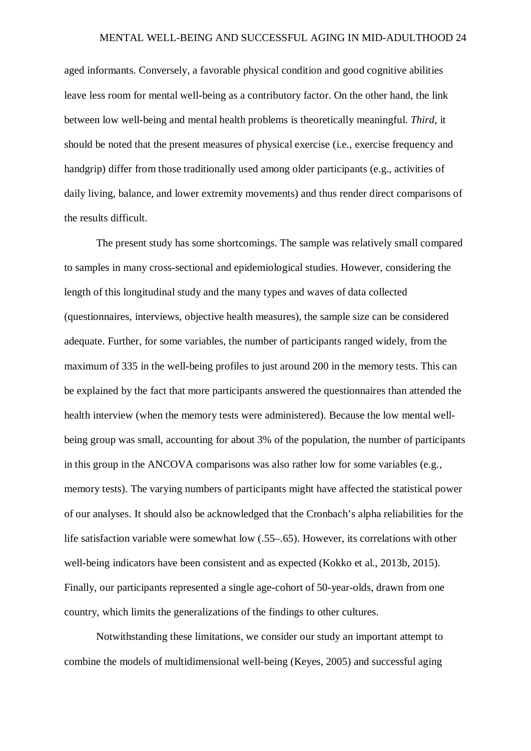aged informants. Conversely, a favorable physical condition and good cognitive abilities leave less room for mental well-being as a contributory factor. On the other hand, the link between low well-being and mental health problems is theoretically meaningful. *Third*, it should be noted that the present measures of physical exercise (i.e., exercise frequency and handgrip) differ from those traditionally used among older participants (e.g., activities of daily living, balance, and lower extremity movements) and thus render direct comparisons of the results difficult.

The present study has some shortcomings. The sample was relatively small compared to samples in many cross-sectional and epidemiological studies. However, considering the length of this longitudinal study and the many types and waves of data collected (questionnaires, interviews, objective health measures), the sample size can be considered adequate. Further, for some variables, the number of participants ranged widely, from the maximum of 335 in the well-being profiles to just around 200 in the memory tests. This can be explained by the fact that more participants answered the questionnaires than attended the health interview (when the memory tests were administered). Because the low mental wellbeing group was small, accounting for about 3% of the population, the number of participants in this group in the ANCOVA comparisons was also rather low for some variables (e.g., memory tests). The varying numbers of participants might have affected the statistical power of our analyses. It should also be acknowledged that the Cronbach's alpha reliabilities for the life satisfaction variable were somewhat low (.55–.65). However, its correlations with other well-being indicators have been consistent and as expected (Kokko et al., 2013b, 2015). Finally, our participants represented a single age-cohort of 50-year-olds, drawn from one country, which limits the generalizations of the findings to other cultures.

Notwithstanding these limitations, we consider our study an important attempt to combine the models of multidimensional well-being (Keyes, 2005) and successful aging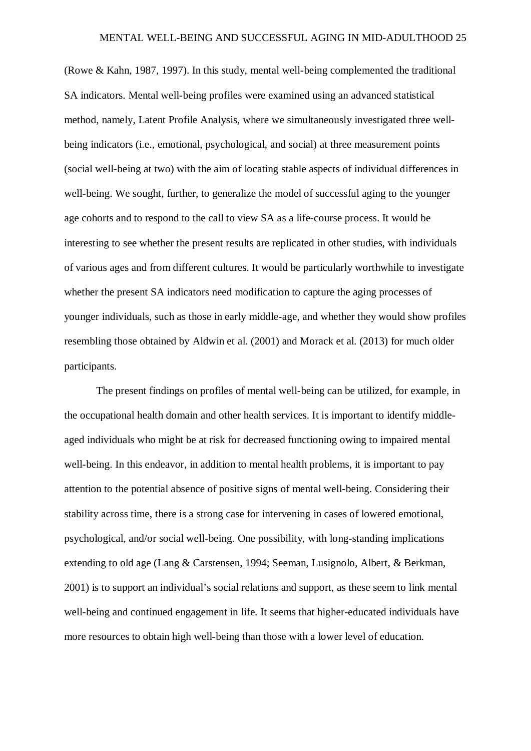(Rowe & Kahn, 1987, 1997). In this study, mental well-being complemented the traditional SA indicators. Mental well-being profiles were examined using an advanced statistical method, namely, Latent Profile Analysis, where we simultaneously investigated three wellbeing indicators (i.e., emotional, psychological, and social) at three measurement points (social well-being at two) with the aim of locating stable aspects of individual differences in well-being. We sought, further, to generalize the model of successful aging to the younger age cohorts and to respond to the call to view SA as a life-course process. It would be interesting to see whether the present results are replicated in other studies, with individuals of various ages and from different cultures. It would be particularly worthwhile to investigate whether the present SA indicators need modification to capture the aging processes of younger individuals, such as those in early middle-age, and whether they would show profiles resembling those obtained by Aldwin et al. (2001) and Morack et al. (2013) for much older participants.

The present findings on profiles of mental well-being can be utilized, for example, in the occupational health domain and other health services. It is important to identify middleaged individuals who might be at risk for decreased functioning owing to impaired mental well-being. In this endeavor, in addition to mental health problems, it is important to pay attention to the potential absence of positive signs of mental well-being. Considering their stability across time, there is a strong case for intervening in cases of lowered emotional, psychological, and/or social well-being. One possibility, with long-standing implications extending to old age (Lang & Carstensen, 1994; Seeman, Lusignolo, Albert, & Berkman, 2001) is to support an individual's social relations and support, as these seem to link mental well-being and continued engagement in life. It seems that higher-educated individuals have more resources to obtain high well-being than those with a lower level of education.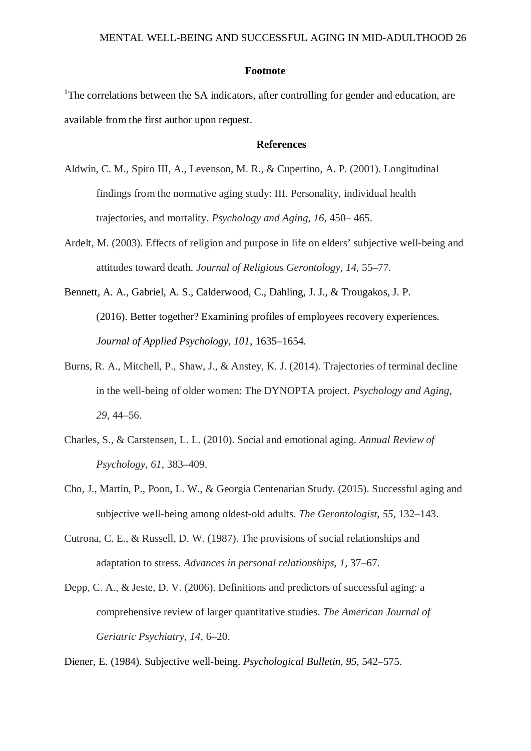#### **Footnote**

<sup>1</sup>The correlations between the SA indicators, after controlling for gender and education, are available from the first author upon request.

#### **References**

- Aldwin, C. M., Spiro III, A., Levenson, M. R., & Cupertino, A. P. (2001). Longitudinal findings from the normative aging study: III. Personality, individual health trajectories, and mortality. *Psychology and Aging*, *16,* 450– 465.
- Ardelt, M. (2003). Effects of religion and purpose in life on elders' subjective well-being and attitudes toward death. *Journal of Religious Gerontology*, *14*, 55–77.
- Bennett, A. A., Gabriel, A. S., Calderwood, C., Dahling, J. J., & Trougakos, J. P. (2016). Better together? Examining profiles of employees recovery experiences. *Journal of Applied Psychology, 101,* 1635–1654.
- Burns, R. A., Mitchell, P., Shaw, J., & Anstey, K. J. (2014). Trajectories of terminal decline in the well-being of older women: The DYNOPTA project. *Psychology and Aging*, *29,* 44–56.
- Charles, S., & Carstensen, L. L. (2010). Social and emotional aging. *Annual Review of Psychology*, *61*, 383–409.
- Cho, J., Martin, P., Poon, L. W., & Georgia Centenarian Study. (2015). Successful aging and subjective well-being among oldest-old adults. *The Gerontologist*, *55,* 132–143.
- Cutrona, C. E., & Russell, D. W. (1987). The provisions of social relationships and adaptation to stress. *Advances in personal relationships*, *1,* 37–67.
- Depp, C. A., & Jeste, D. V. (2006). Definitions and predictors of successful aging: a comprehensive review of larger quantitative studies. *The American Journal of Geriatric Psychiatry*, *14,* 6–20.

Diener, E. (1984). Subjective well-being. *Psychological Bulletin, 95,* 542–575.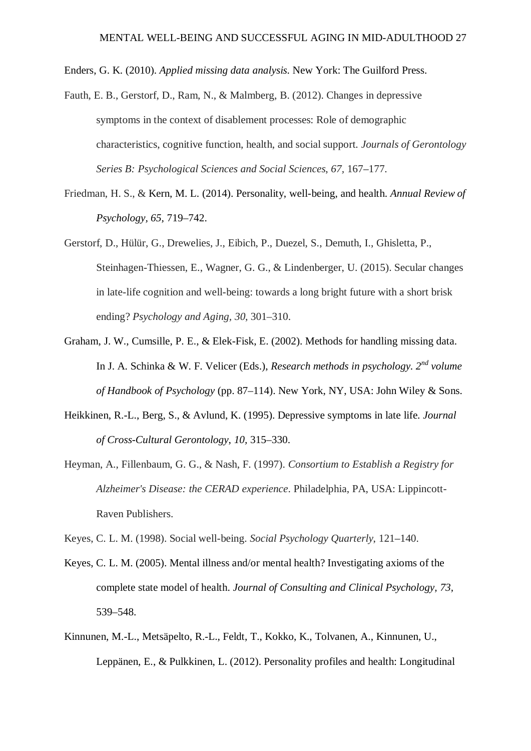Enders, G. K. (2010). *Applied missing data analysis.* New York: The Guilford Press.

- Fauth, E. B., Gerstorf, D., Ram, N., & Malmberg, B. (2012). Changes in depressive symptoms in the context of disablement processes: Role of demographic characteristics, cognitive function, health, and social support. *Journals of Gerontology Series B: Psychological Sciences and Social Sciences*, *67,* 167–177.
- Friedman, H. S., & Kern, M. L. (2014). Personality, well-being, and health. *Annual Review of Psychology, 65,* 719–742.
- Gerstorf, D., Hülür, G., Drewelies, J., Eibich, P., Duezel, S., Demuth, I., Ghisletta, P., Steinhagen-Thiessen, E., Wagner, G. G., & Lindenberger, U. (2015). Secular changes in late-life cognition and well-being: towards a long bright future with a short brisk ending? *Psychology and Aging, 30,* 301–310.
- Graham, J. W., Cumsille, P. E., & Elek-Fisk, E. (2002). Methods for handling missing data. In J. A. Schinka & W. F. Velicer (Eds.), *Research methods in psychology. 2nd volume of Handbook of Psychology* (pp. 87–114). New York, NY, USA: John Wiley & Sons.
- Heikkinen, R.-L., Berg, S., & Avlund, K. (1995). Depressive symptoms in late life. *Journal of Cross-Cultural Gerontology*, *10,* 315–330.
- Heyman, A., Fillenbaum, G. G., & Nash, F. (1997). *Consortium to Establish a Registry for Alzheimer's Disease: the CERAD experience*. Philadelphia, PA, USA: Lippincott-Raven Publishers.
- Keyes, C. L. M. (1998). Social well-being. *Social Psychology Quarterly*, 121–140.
- Keyes, C. L. M. (2005). Mental illness and/or mental health? Investigating axioms of the complete state model of health. *Journal of Consulting and Clinical Psychology, 73,* 539–548.
- Kinnunen, M.-L., Metsäpelto, R.-L., Feldt, T., Kokko, K., Tolvanen, A., Kinnunen, U., Leppänen, E., & Pulkkinen, L. (2012). Personality profiles and health: Longitudinal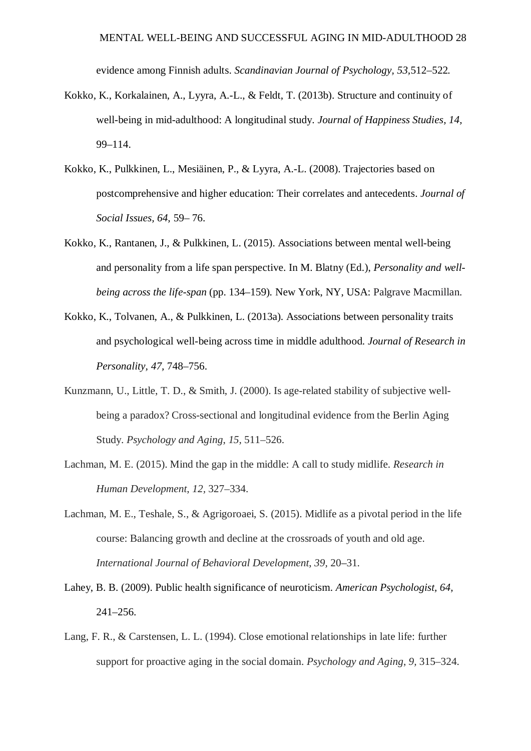evidence among Finnish adults. *Scandinavian Journal of Psychology, 53,*512–522*.*

- Kokko, K., Korkalainen, A., Lyyra, A.-L., & Feldt, T. (2013b). Structure and continuity of well-being in mid-adulthood: A longitudinal study. *Journal of Happiness Studies, 14,* 99–114.
- Kokko, K., Pulkkinen, L., Mesiäinen, P., & Lyyra, A.-L. (2008). Trajectories based on postcomprehensive and higher education: Their correlates and antecedents. *Journal of Social Issues, 64,* 59– 76.
- Kokko, K., Rantanen, J., & Pulkkinen, L. (2015). Associations between mental well-being and personality from a life span perspective. In M. Blatny (Ed.), *Personality and wellbeing across the life-span* (pp. 134–159)*.* New York, NY, USA: Palgrave Macmillan.
- Kokko, K., Tolvanen, A., & Pulkkinen, L. (2013a). Associations between personality traits and psychological well-being across time in middle adulthood. *Journal of Research in Personality, 47,* 748–756.
- Kunzmann, U., Little, T. D., & Smith, J. (2000). Is age-related stability of subjective wellbeing a paradox? Cross-sectional and longitudinal evidence from the Berlin Aging Study. *Psychology and Aging*, *15,* 511–526.
- Lachman, M. E. (2015). Mind the gap in the middle: A call to study midlife. *Research in Human Development*, *12,* 327–334.
- Lachman, M. E., Teshale, S., & Agrigoroaei, S. (2015). Midlife as a pivotal period in the life course: Balancing growth and decline at the crossroads of youth and old age. *International Journal of Behavioral Development*, *39,* 20–31.
- Lahey, B. B. (2009). Public health significance of neuroticism. *American Psychologist, 64,* 241–256.
- Lang, F. R., & Carstensen, L. L. (1994). Close emotional relationships in late life: further support for proactive aging in the social domain. *Psychology and Aging*, *9,* 315–324.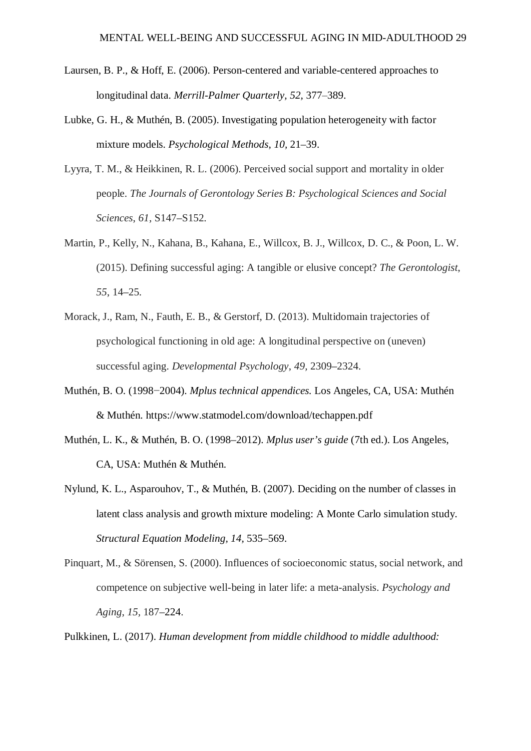- Laursen, B. P., & Hoff, E. (2006). Person-centered and variable-centered approaches to longitudinal data. *Merrill-Palmer Quarterly, 52, 377–389.*
- Lubke, G. H., & Muthén, B. (2005). Investigating population heterogeneity with factor mixture models. *Psychological Methods, 10,* 21–39.
- Lyyra, T. M., & Heikkinen, R. L. (2006). Perceived social support and mortality in older people. *The Journals of Gerontology Series B: Psychological Sciences and Social Sciences*, *61,* S147–S152.
- Martin, P., Kelly, N., Kahana, B., Kahana, E., Willcox, B. J., Willcox, D. C., & Poon, L. W. (2015). Defining successful aging: A tangible or elusive concept? *The Gerontologist*, *55*, 14–25.
- Morack, J., Ram, N., Fauth, E. B., & Gerstorf, D. (2013). Multidomain trajectories of psychological functioning in old age: A longitudinal perspective on (uneven) successful aging. *Developmental Psychology*, *49,* 2309–2324.
- Muthén, B. O. (1998−2004). *Mplus technical appendices.* Los Angeles, CA, USA: Muthén & Muthén. https://www.statmodel.com/download/techappen.pdf
- Muthén, L. K., & Muthén, B. O. (1998–2012). *Mplus user's guide* (7th ed.). Los Angeles, CA, USA: Muthén & Muthén.
- Nylund, K. L., Asparouhov, T., & Muthén, B. (2007). Deciding on the number of classes in latent class analysis and growth mixture modeling: A Monte Carlo simulation study. *Structural Equation Modeling, 14,* 535–569.
- Pinquart, M., & Sörensen, S. (2000). Influences of socioeconomic status, social network, and competence on subjective well-being in later life: a meta-analysis. *Psychology and Aging*, *15,* 187–224.

Pulkkinen, L. (2017). *Human development from middle childhood to middle adulthood:*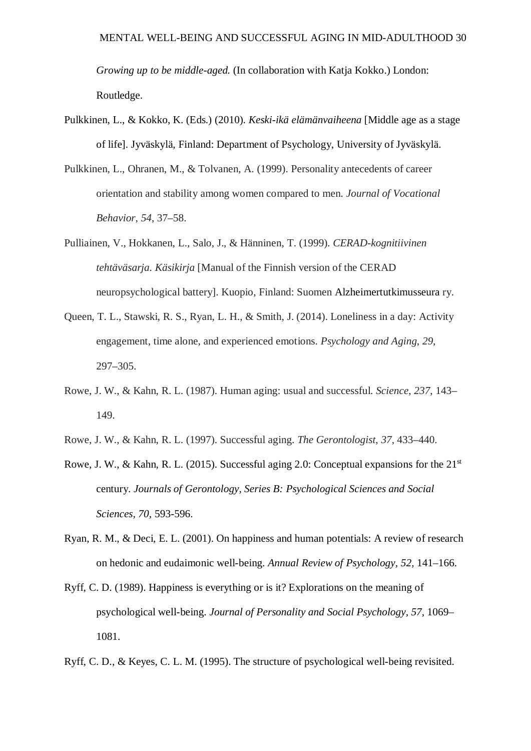*Growing up to be middle-aged.* (In collaboration with Katja Kokko.) London: Routledge.

- Pulkkinen, L., & Kokko, K. (Eds.) (2010). *Keski-ikä elämänvaiheena* [Middle age as a stage of life]. Jyväskylä, Finland: Department of Psychology, University of Jyväskylä.
- Pulkkinen, L., Ohranen, M., & Tolvanen, A. (1999). Personality antecedents of career orientation and stability among women compared to men. *Journal of Vocational Behavior*, *54*, 37–58.
- Pulliainen, V., Hokkanen, L., Salo, J., & Hänninen, T. (1999). *CERAD-kognitiivinen tehtäväsarja. Käsikirja* [Manual of the Finnish version of the CERAD neuropsychological battery]. Kuopio, Finland: Suomen Alzheimertutkimusseura ry.
- Queen, T. L., Stawski, R. S., Ryan, L. H., & Smith, J. (2014). Loneliness in a day: Activity engagement, time alone, and experienced emotions. *Psychology and Aging*, *29,* 297–305.
- Rowe, J. W., & Kahn, R. L. (1987). Human aging: usual and successful. *Science*, *237,* 143– 149.
- Rowe, J. W., & Kahn, R. L. (1997). Successful aging. *The Gerontologist*, *37,* 433–440.
- Rowe, J. W., & Kahn, R. L. (2015). Successful aging 2.0: Conceptual expansions for the  $21<sup>st</sup>$ century. *Journals of Gerontology, Series B: Psychological Sciences and Social Sciences, 70,* 593-596.
- Ryan, R. M., & Deci, E. L. (2001). On happiness and human potentials: A review of research on hedonic and eudaimonic well-being. *Annual Review of Psychology, 52,* 141–166.
- Ryff, C. D. (1989). Happiness is everything or is it? Explorations on the meaning of psychological well-being. *Journal of Personality and Social Psychology, 57,* 1069– 1081.
- Ryff, C. D., & Keyes, C. L. M. (1995). The structure of psychological well-being revisited.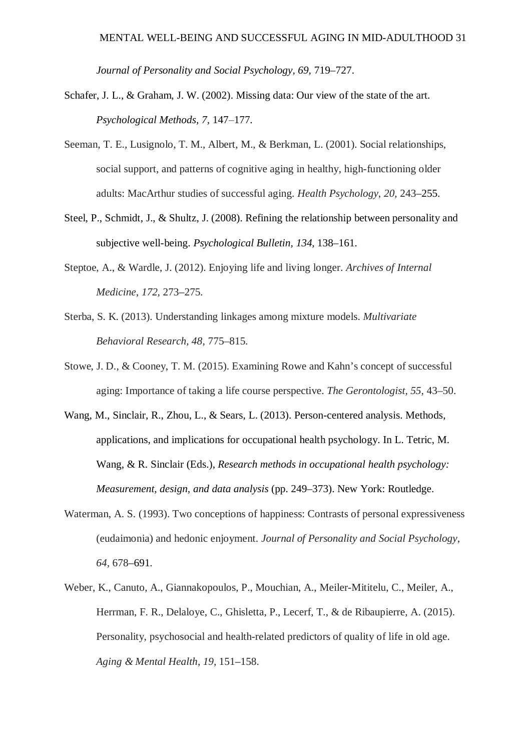*Journal of Personality and Social Psychology, 69,* 719–727.

- Schafer, J. L., & Graham, J. W. (2002). Missing data: Our view of the state of the art. *Psychological Methods, 7, 147–177.*
- Seeman, T. E., Lusignolo, T. M., Albert, M., & Berkman, L. (2001). Social relationships, social support, and patterns of cognitive aging in healthy, high-functioning older adults: MacArthur studies of successful aging. *Health Psychology*, *20,* 243–255.
- Steel, P., Schmidt, J., & Shultz, J. (2008). Refining the relationship between personality and subjective well-being. *Psychological Bulletin, 134,* 138–161.
- Steptoe, A., & Wardle, J. (2012). Enjoying life and living longer. *Archives of Internal Medicine*, *172,* 273–275.
- Sterba, S. K. (2013). Understanding linkages among mixture models. *Multivariate Behavioral Research, 48*, 775–815.
- Stowe, J. D., & Cooney, T. M. (2015). Examining Rowe and Kahn's concept of successful aging: Importance of taking a life course perspective. *The Gerontologist, 55,* 43–50.
- Wang, M., Sinclair, R., Zhou, L., & Sears, L. (2013). Person-centered analysis. Methods, applications, and implications for occupational health psychology. In L. Tetric, M. Wang, & R. Sinclair (Eds.), *Research methods in occupational health psychology: Measurement, design, and data analysis* (pp. 249–373). New York: Routledge.
- Waterman, A. S. (1993). Two conceptions of happiness: Contrasts of personal expressiveness (eudaimonia) and hedonic enjoyment. *Journal of Personality and Social Psychology*, *64,* 678–691.
- Weber, K., Canuto, A., Giannakopoulos, P., Mouchian, A., Meiler-Mititelu, C., Meiler, A., Herrman, F. R., Delaloye, C., Ghisletta, P., Lecerf, T., & de Ribaupierre, A. (2015). Personality, psychosocial and health-related predictors of quality of life in old age. *Aging & Mental Health*, *19,* 151–158.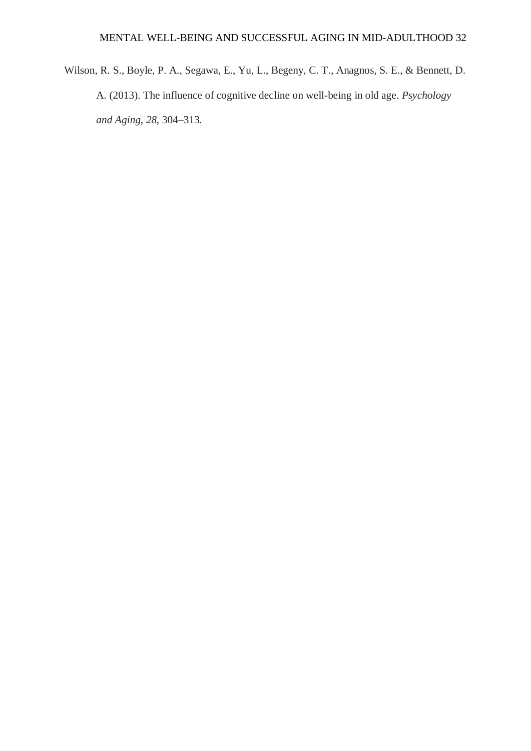Wilson, R. S., Boyle, P. A., Segawa, E., Yu, L., Begeny, C. T., Anagnos, S. E., & Bennett, D. A. (2013). The influence of cognitive decline on well-being in old age. *Psychology and Aging*, *28,* 304–313.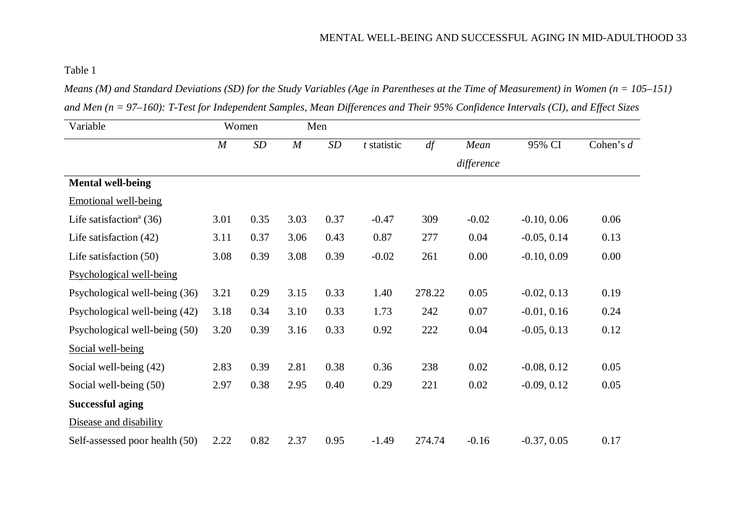Table 1

*Means (M) and Standard Deviations (SD) for the Study Variables (Age in Parentheses at the Time of Measurement) in Women (n = 105–151) and Men (n = 97–160): T-Test for Independent Samples, Mean Differences and Their 95% Confidence Intervals (CI), and Effect Sizes*

| Variable                            | Women            |      | Men              |      |               |        |                       |               |             |
|-------------------------------------|------------------|------|------------------|------|---------------|--------|-----------------------|---------------|-------------|
|                                     | $\boldsymbol{M}$ | SD   | $\boldsymbol{M}$ | SD   | $t$ statistic | df     | Mean                  | 95% CI        | Cohen's $d$ |
|                                     |                  |      |                  |      |               |        | difference            |               |             |
| <b>Mental well-being</b>            |                  |      |                  |      |               |        |                       |               |             |
| Emotional well-being                |                  |      |                  |      |               |        |                       |               |             |
| Life satisfaction <sup>a</sup> (36) | 3.01             | 0.35 | 3.03             | 0.37 | $-0.47$       | 309    | $-0.02$               | $-0.10, 0.06$ | 0.06        |
| Life satisfaction $(42)$            | 3.11             | 0.37 | 3.06             | 0.43 | 0.87          | 277    | 0.04                  | $-0.05, 0.14$ | 0.13        |
| Life satisfaction $(50)$            | 3.08             | 0.39 | 3.08             | 0.39 | $-0.02$       | 261    | 0.00                  | $-0.10, 0.09$ | 0.00        |
| Psychological well-being            |                  |      |                  |      |               |        |                       |               |             |
| Psychological well-being (36)       | 3.21             | 0.29 | 3.15             | 0.33 | 1.40          | 278.22 | 0.05<br>$-0.02, 0.13$ |               | 0.19        |
| Psychological well-being (42)       | 3.18             | 0.34 | 3.10             | 0.33 | 1.73          | 242    | 0.07                  | $-0.01, 0.16$ | 0.24        |
| Psychological well-being (50)       | 3.20             | 0.39 | 3.16             | 0.33 | 0.92          | 222    | 0.04                  | $-0.05, 0.13$ | 0.12        |
| Social well-being                   |                  |      |                  |      |               |        |                       |               |             |
| Social well-being (42)              | 2.83             | 0.39 | 2.81             | 0.38 | 0.36          | 238    | 0.02                  | $-0.08, 0.12$ | 0.05        |
| Social well-being (50)              | 2.97             | 0.38 | 2.95             | 0.40 | 0.29          | 221    | 0.02                  | $-0.09, 0.12$ | 0.05        |
| <b>Successful aging</b>             |                  |      |                  |      |               |        |                       |               |             |
| Disease and disability              |                  |      |                  |      |               |        |                       |               |             |
| Self-assessed poor health (50)      | 2.22             | 0.82 | 2.37             | 0.95 | $-1.49$       | 274.74 | $-0.16$               | $-0.37, 0.05$ | 0.17        |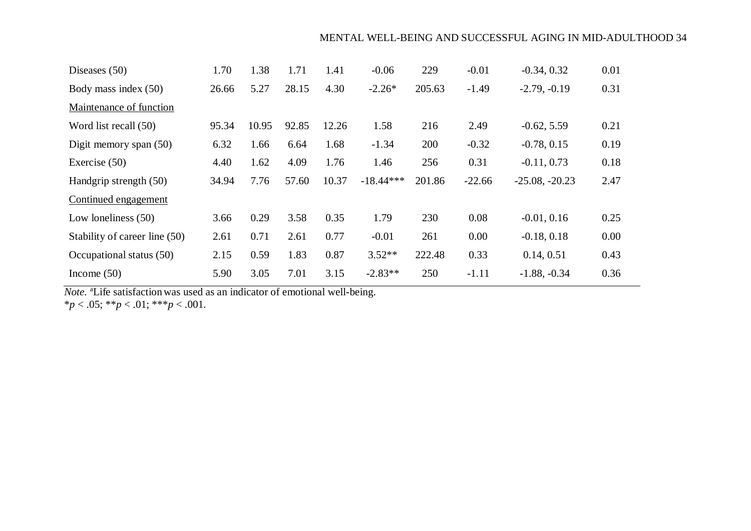| Diseases $(50)$               | 1.70  | 1.38  | 1.71  | 1.41  | $-0.06$     | 229    | $-0.01$  | $-0.34, 0.32$    | 0.01 |
|-------------------------------|-------|-------|-------|-------|-------------|--------|----------|------------------|------|
| Body mass index (50)          | 26.66 | 5.27  | 28.15 | 4.30  | $-2.26*$    | 205.63 | $-1.49$  | $-2.79, -0.19$   | 0.31 |
| Maintenance of function       |       |       |       |       |             |        |          |                  |      |
| Word list recall (50)         | 95.34 | 10.95 | 92.85 | 12.26 | 1.58        | 216    | 2.49     | $-0.62, 5.59$    | 0.21 |
| Digit memory span (50)        | 6.32  | 1.66  | 6.64  | 1.68  | $-1.34$     | 200    | $-0.32$  | $-0.78, 0.15$    | 0.19 |
| Exercise $(50)$               | 4.40  | 1.62  | 4.09  | 1.76  | 1.46        | 256    | 0.31     | $-0.11, 0.73$    | 0.18 |
| Handgrip strength (50)        | 34.94 | 7.76  | 57.60 | 10.37 | $-18.44***$ | 201.86 | $-22.66$ | $-25.08, -20.23$ | 2.47 |
| Continued engagement          |       |       |       |       |             |        |          |                  |      |
| Low loneliness $(50)$         | 3.66  | 0.29  | 3.58  | 0.35  | 1.79        | 230    | 0.08     | $-0.01, 0.16$    | 0.25 |
| Stability of career line (50) | 2.61  | 0.71  | 2.61  | 0.77  | $-0.01$     | 261    | 0.00     | $-0.18, 0.18$    | 0.00 |
| Occupational status (50)      | 2.15  | 0.59  | 1.83  | 0.87  | $3.52**$    | 222.48 | 0.33     | 0.14, 0.51       | 0.43 |
| Income $(50)$                 | 5.90  | 3.05  | 7.01  | 3.15  | $-2.83**$   | 250    | $-1.11$  | $-1.88, -0.34$   | 0.36 |

*Note.* <sup>a</sup>Life satisfaction was used as an indicator of emotional well-being.

\**p* < .05; \*\**p* < .01; \*\*\**p* < .001.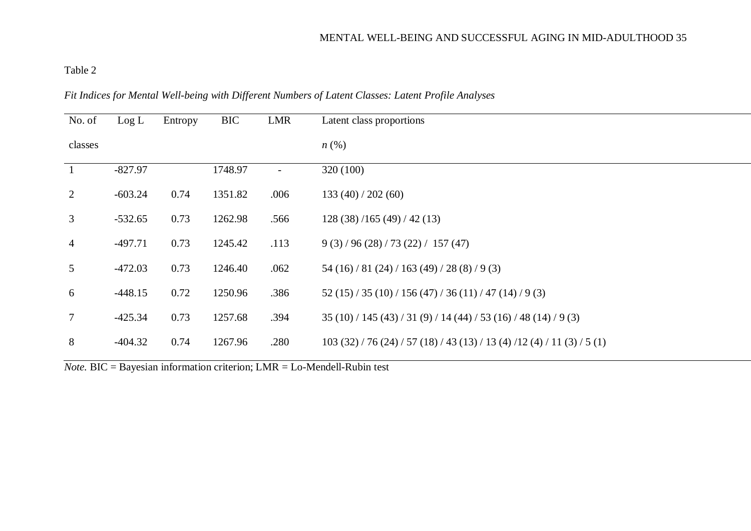## Table 2

## *Fit Indices for Mental Well-being with Different Numbers of Latent Classes: Latent Profile Analyses*

| No. of          | Log L     | Entropy | <b>BIC</b> | LMR                      | Latent class proportions                              |
|-----------------|-----------|---------|------------|--------------------------|-------------------------------------------------------|
| classes         |           |         |            |                          | $n\left(\%\right)$                                    |
| $\mathbf{1}$    | $-827.97$ |         | 1748.97    | $\overline{\phantom{0}}$ | 320 (100)                                             |
| 2               | $-603.24$ | 0.74    | 1351.82    | .006                     | 133(40)/202(60)                                       |
| $\mathfrak{Z}$  | $-532.65$ | 0.73    | 1262.98    | .566                     | 128(38)/165(49)/42(13)                                |
| $\overline{4}$  | $-497.71$ | 0.73    | 1245.42    | .113                     | 9(3)/96(28)/73(22)/157(47)                            |
| 5 <sup>5</sup>  | $-472.03$ | 0.73    | 1246.40    | .062                     | 54 (16) / 81 (24) / 163 (49) / 28 (8) / 9 (3)         |
| 6               | $-448.15$ | 0.72    | 1250.96    | .386                     | $52(15)/35(10)/156(47)/36(11)/47(14)/9(3)$            |
| $7\overline{ }$ | $-425.34$ | 0.73    | 1257.68    | .394                     | $35(10)/145(43)/31(9)/14(44)/53(16)/48(14)/9(3)$      |
| 8               | $-404.32$ | 0.74    | 1267.96    | .280                     | $103(32)/76(24)/57(18)/43(13)/13(4)/12(4)/11(3)/5(1)$ |

*Note.* BIC = Bayesian information criterion; LMR = Lo-Mendell-Rubin test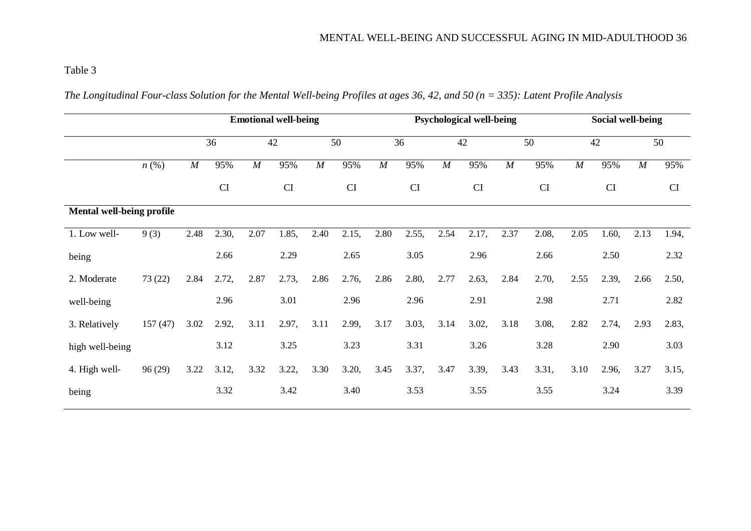## Table 3

|                           |                    | <b>Emotional well-being</b> |           |                  |           |      |       | <b>Psychological well-being</b> |       |          |          |      |           | <b>Social well-being</b> |       |          |           |  |
|---------------------------|--------------------|-----------------------------|-----------|------------------|-----------|------|-------|---------------------------------|-------|----------|----------|------|-----------|--------------------------|-------|----------|-----------|--|
|                           |                    | 36                          |           |                  |           | 42   |       |                                 | 50    |          | 36<br>42 |      | 50        |                          | 42    |          | 50        |  |
|                           | $n\left(\%\right)$ | $\cal M$                    | 95%       | $\boldsymbol{M}$ | 95%       | M    | 95%   | $\cal M$                        | 95%   | $\cal M$ | 95%      | M    | 95%       | $\cal M$                 | 95%   | $\cal M$ | 95%       |  |
|                           |                    |                             | <b>CI</b> |                  | <b>CI</b> |      | CI    |                                 | CI    |          | CI       |      | <b>CI</b> |                          | CI    |          | <b>CI</b> |  |
| Mental well-being profile |                    |                             |           |                  |           |      |       |                                 |       |          |          |      |           |                          |       |          |           |  |
| 1. Low well-              | 9(3)               | 2.48                        | 2.30,     | 2.07             | 1.85,     | 2.40 | 2.15, | 2.80                            | 2.55, | 2.54     | 2.17,    | 2.37 | 2.08,     | 2.05                     | 1.60, | 2.13     | 1.94,     |  |
| being                     |                    |                             | 2.66      |                  | 2.29      |      | 2.65  |                                 | 3.05  |          | 2.96     |      | 2.66      |                          | 2.50  |          | 2.32      |  |
| 2. Moderate               | 73(22)             | 2.84                        | 2.72,     | 2.87             | 2.73,     | 2.86 | 2.76, | 2.86                            | 2.80, | 2.77     | 2.63,    | 2.84 | 2.70,     | 2.55                     | 2.39, | 2.66     | 2.50,     |  |
| well-being                |                    |                             | 2.96      |                  | 3.01      |      | 2.96  |                                 | 2.96  |          | 2.91     |      | 2.98      |                          | 2.71  |          | 2.82      |  |
| 3. Relatively             | 157(47)            | 3.02                        | 2.92,     | 3.11             | 2.97,     | 3.11 | 2.99, | 3.17                            | 3.03, | 3.14     | 3.02,    | 3.18 | 3.08,     | 2.82                     | 2.74, | 2.93     | 2.83,     |  |
| high well-being           |                    |                             | 3.12      |                  | 3.25      |      | 3.23  |                                 | 3.31  |          | 3.26     |      | 3.28      |                          | 2.90  |          | 3.03      |  |
| 4. High well-             | 96(29)             | 3.22                        | 3.12,     | 3.32             | 3.22,     | 3.30 | 3.20, | 3.45                            | 3.37, | 3.47     | 3.39,    | 3.43 | 3.31,     | 3.10                     | 2.96, | 3.27     | 3.15,     |  |
| being                     |                    |                             | 3.32      |                  | 3.42      |      | 3.40  |                                 | 3.53  |          | 3.55     |      | 3.55      |                          | 3.24  |          | 3.39      |  |

*The Longitudinal Four-class Solution for the Mental Well-being Profiles at ages 36, 42, and 50 (n = 335): Latent Profile Analysis*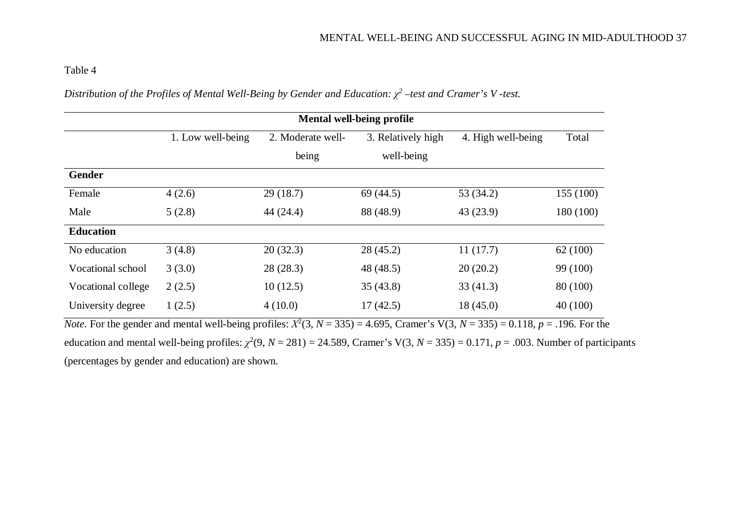### Table 4

| Distribution of the Profiles of Mental Well-Being by Gender and Education: $\chi^2$ –test and Cramer's V -test. |  |
|-----------------------------------------------------------------------------------------------------------------|--|
|-----------------------------------------------------------------------------------------------------------------|--|

|                    | <b>Mental well-being profile</b> |                   |                    |                    |           |  |  |  |  |  |  |
|--------------------|----------------------------------|-------------------|--------------------|--------------------|-----------|--|--|--|--|--|--|
|                    | 1. Low well-being                | 2. Moderate well- | 3. Relatively high | 4. High well-being | Total     |  |  |  |  |  |  |
|                    |                                  | being             | well-being         |                    |           |  |  |  |  |  |  |
| <b>Gender</b>      |                                  |                   |                    |                    |           |  |  |  |  |  |  |
| Female             | 4(2.6)                           | 29(18.7)          | 69(44.5)           | 53 (34.2)          | 155 (100) |  |  |  |  |  |  |
| Male               | 5(2.8)                           | 44(24.4)          | 88 (48.9)          | 43(23.9)           | 180 (100) |  |  |  |  |  |  |
| <b>Education</b>   |                                  |                   |                    |                    |           |  |  |  |  |  |  |
| No education       | 3(4.8)                           | 20(32.3)          | 28(45.2)           | 11(17.7)           | 62(100)   |  |  |  |  |  |  |
| Vocational school  | 3(3.0)                           | 28(28.3)          | 48 (48.5)          | 20(20.2)           | 99 (100)  |  |  |  |  |  |  |
| Vocational college | 2(2.5)                           | 10(12.5)          | 35(43.8)           | 33(41.3)           | 80 (100)  |  |  |  |  |  |  |
| University degree  | 1(2.5)                           | 4(10.0)           | 17(42.5)           | 18(45.0)           | 40(100)   |  |  |  |  |  |  |

*Note.* For the gender and mental well-being profiles:  $X^2(3, N = 335) = 4.695$ , Cramer's V(3,  $N = 335$ ) = 0.118,  $p = .196$ . For the education and mental well-being profiles:  $\chi^2(9, N = 281) = 24.589$ , Cramer's V(3, N = 335) = 0.171, p = .003. Number of participants (percentages by gender and education) are shown.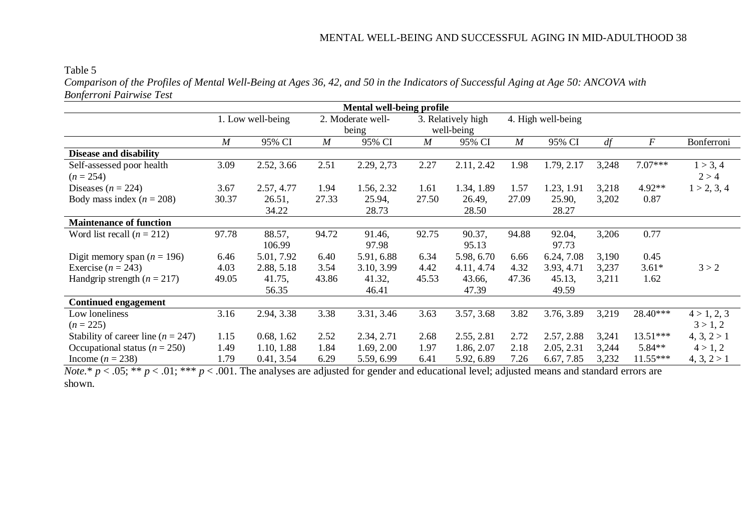#### Table 5

*Comparison of the Profiles of Mental Well-Being at Ages 36, 42, and 50 in the Indicators of Successful Aging at Age 50: ANCOVA with Bonferroni Pairwise Test*

| <b>Mental well-being profile</b>         |       |                   |                  |                   |                  |                    |       |                    |       |                  |                   |
|------------------------------------------|-------|-------------------|------------------|-------------------|------------------|--------------------|-------|--------------------|-------|------------------|-------------------|
|                                          |       | 1. Low well-being |                  | 2. Moderate well- |                  | 3. Relatively high |       | 4. High well-being |       |                  |                   |
|                                          |       |                   | being            |                   | well-being       |                    |       |                    |       |                  |                   |
|                                          | M     | 95% CI            | $\boldsymbol{M}$ | 95% CI            | $\boldsymbol{M}$ | 95% CI             | M     | 95% CI             | df    | $\boldsymbol{F}$ | Bonferroni        |
| <b>Disease and disability</b>            |       |                   |                  |                   |                  |                    |       |                    |       |                  |                   |
| Self-assessed poor health<br>$(n = 254)$ | 3.09  | 2.52, 3.66        | 2.51             | 2.29, 2,73        | 2.27             | 2.11, 2.42         | 1.98  | 1.79, 2.17         | 3,248 | $7.07***$        | 1 > 3, 4<br>2 > 4 |
| Diseases ( $n = 224$ )                   | 3.67  | 2.57, 4.77        | 1.94             | 1.56, 2.32        | 1.61             | 1.34, 1.89         | 1.57  | 1.23, 1.91         | 3,218 | 4.92**           | 1 > 2, 3, 4       |
| Body mass index ( $n = 208$ )            | 30.37 | 26.51,            | 27.33            | 25.94,            | 27.50            | 26.49,             | 27.09 | 25.90,             | 3,202 | 0.87             |                   |
|                                          |       | 34.22             |                  | 28.73             |                  | 28.50              |       | 28.27              |       |                  |                   |
| <b>Maintenance of function</b>           |       |                   |                  |                   |                  |                    |       |                    |       |                  |                   |
| Word list recall $(n = 212)$             | 97.78 | 88.57,<br>106.99  | 94.72            | 91.46,<br>97.98   | 92.75            | 90.37,<br>95.13    | 94.88 | 92.04,<br>97.73    | 3,206 | 0.77             |                   |
| Digit memory span ( $n = 196$ )          | 6.46  | 5.01, 7.92        | 6.40             | 5.91, 6.88        | 6.34             | 5.98, 6.70         | 6.66  | 6.24, 7.08         | 3,190 | 0.45             |                   |
| Exercise $(n = 243)$                     | 4.03  | 2.88, 5.18        | 3.54             | 3.10, 3.99        | 4.42             | 4.11, 4.74         | 4.32  | 3.93, 4.71         | 3,237 | $3.61*$          | 3 > 2             |
| Handgrip strength $(n = 217)$            | 49.05 | 41.75,            | 43.86            | 41.32,            | 45.53            | 43.66,             | 47.36 | 45.13,             | 3,211 | 1.62             |                   |
|                                          |       | 56.35             |                  | 46.41             |                  | 47.39              |       | 49.59              |       |                  |                   |
| <b>Continued engagement</b>              |       |                   |                  |                   |                  |                    |       |                    |       |                  |                   |
| Low loneliness                           | 3.16  | 2.94, 3.38        | 3.38             | 3.31, 3.46        | 3.63             | 3.57, 3.68         | 3.82  | 3.76, 3.89         | 3,219 | 28.40***         | 4 > 1, 2, 3       |
| $(n = 225)$                              |       |                   |                  |                   |                  |                    |       |                    |       |                  | 3 > 1, 2          |
| Stability of career line ( $n = 247$ )   | 1.15  | 0.68, 1.62        | 2.52             | 2.34, 2.71        | 2.68             | 2.55, 2.81         | 2.72  | 2.57, 2.88         | 3,241 | $13.51***$       | 4, 3, 2 > 1       |
| Occupational status ( $n = 250$ )        | 1.49  | 1.10, 1.88        | 1.84             | 1.69, 2.00        | 1.97             | 1.86, 2.07         | 2.18  | 2.05, 2.31         | 3,244 | $5.84**$         | 4 > 1, 2          |
| Income $(n = 238)$                       | 1.79  | 0.41, 3.54        | 6.29             | 5.59, 6.99        | 6.41             | 5.92, 6.89         | 7.26  | 6.67, 7.85         | 3,232 | $11.55***$       | 4, 3, 2 > 1       |

*Note.\* p* < .05; \*\* *p* < .01; \*\*\* *p* < .001. The analyses are adjusted for gender and educational level; adjusted means and standard errors are shown.